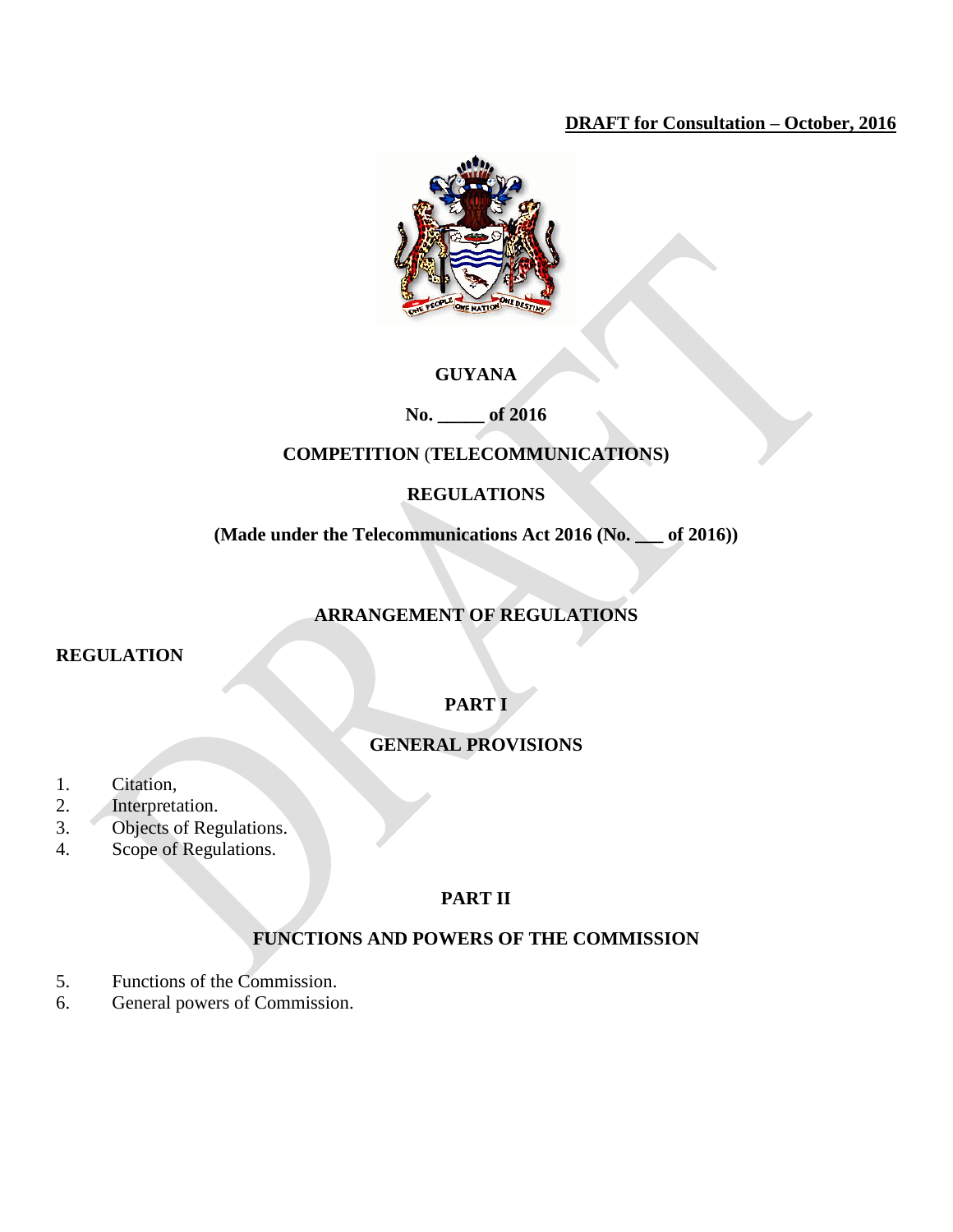## **DRAFT for Consultation – October, 2016**



## **GUYANA**

**No. \_\_\_\_\_ of 2016**

## **COMPETITION** (**TELECOMMUNICATIONS)**

## **REGULATIONS**

**(Made under the Telecommunications Act 2016 (No. \_\_\_ of 2016))**

# **ARRANGEMENT OF REGULATIONS**

### **REGULATION**

# **PART I**

## **GENERAL PROVISIONS**

- 1. Citation,
- 2. Interpretation.
- 3. Objects of Regulations.
- 4. Scope of Regulations.

## **PART II**

## **FUNCTIONS AND POWERS OF THE COMMISSION**

- 5. Functions of the Commission.
- 6. General powers of Commission.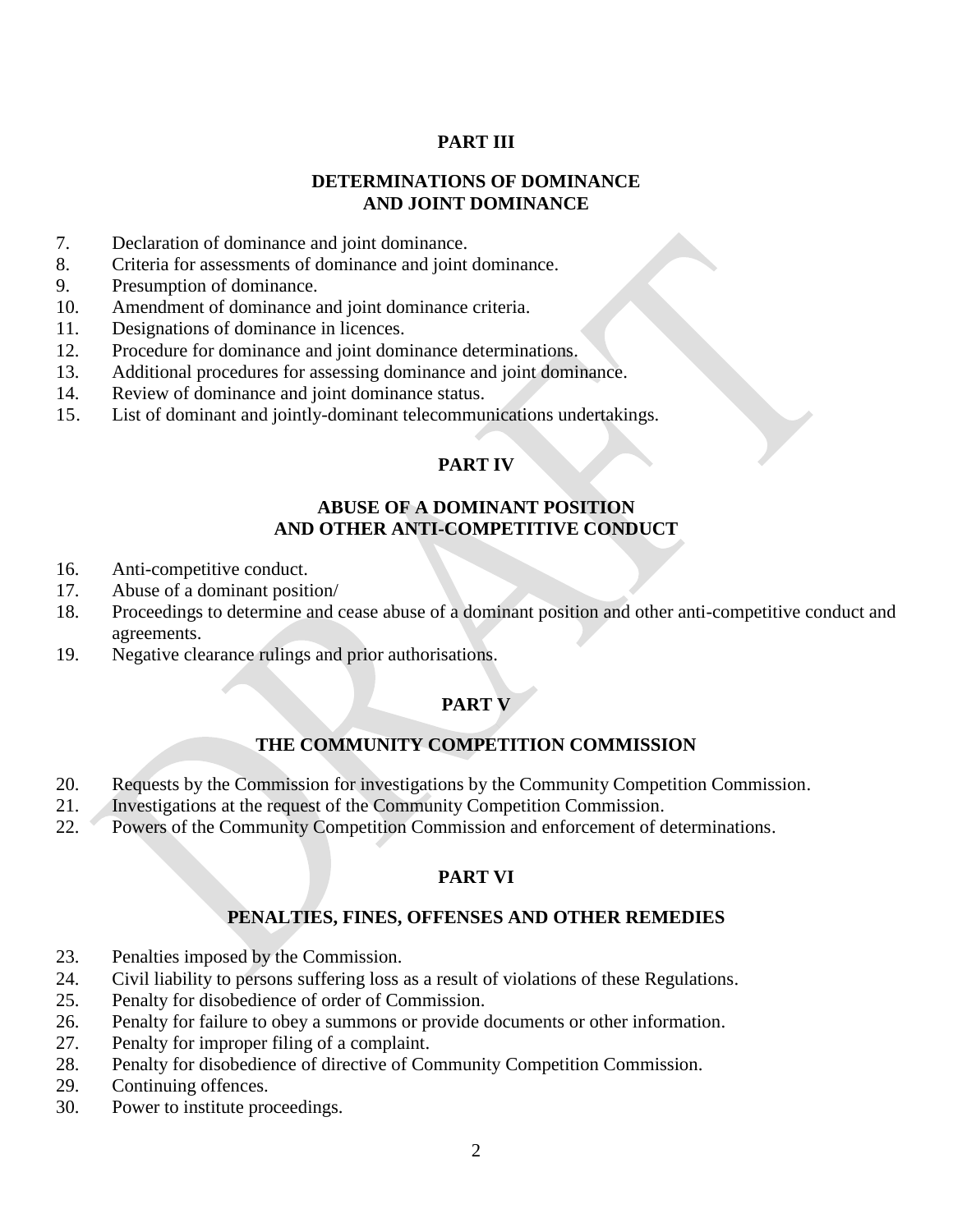## **PART III**

### **DETERMINATIONS OF DOMINANCE AND JOINT DOMINANCE**

- 7. Declaration of dominance and joint dominance.
- 8. Criteria for assessments of dominance and joint dominance.
- 9. Presumption of dominance.
- 10. Amendment of dominance and joint dominance criteria.
- 11. Designations of dominance in licences.
- 12. Procedure for dominance and joint dominance determinations.
- 13. Additional procedures for assessing dominance and joint dominance.
- 14. Review of dominance and joint dominance status.
- 15. List of dominant and jointly-dominant telecommunications undertakings.

## **PART IV**

### **ABUSE OF A DOMINANT POSITION AND OTHER ANTI-COMPETITIVE CONDUCT**

- 16. Anti-competitive conduct.
- 17. Abuse of a dominant position/
- 18. Proceedings to determine and cease abuse of a dominant position and other anti-competitive conduct and agreements.
- 19. Negative clearance rulings and prior authorisations.

## **PART V**

### **THE COMMUNITY COMPETITION COMMISSION**

- 20. Requests by the Commission for investigations by the Community Competition Commission.
- 21. Investigations at the request of the Community Competition Commission.
- 22. Powers of the Community Competition Commission and enforcement of determinations.

# **PART VI**

### **PENALTIES, FINES, OFFENSES AND OTHER REMEDIES**

- 23. Penalties imposed by the Commission.
- 24. Civil liability to persons suffering loss as a result of violations of these Regulations.
- 25. Penalty for disobedience of order of Commission.
- 26. Penalty for failure to obey a summons or provide documents or other information.
- 27. Penalty for improper filing of a complaint.
- 28. Penalty for disobedience of directive of Community Competition Commission.
- 29. Continuing offences.
- 30. Power to institute proceedings.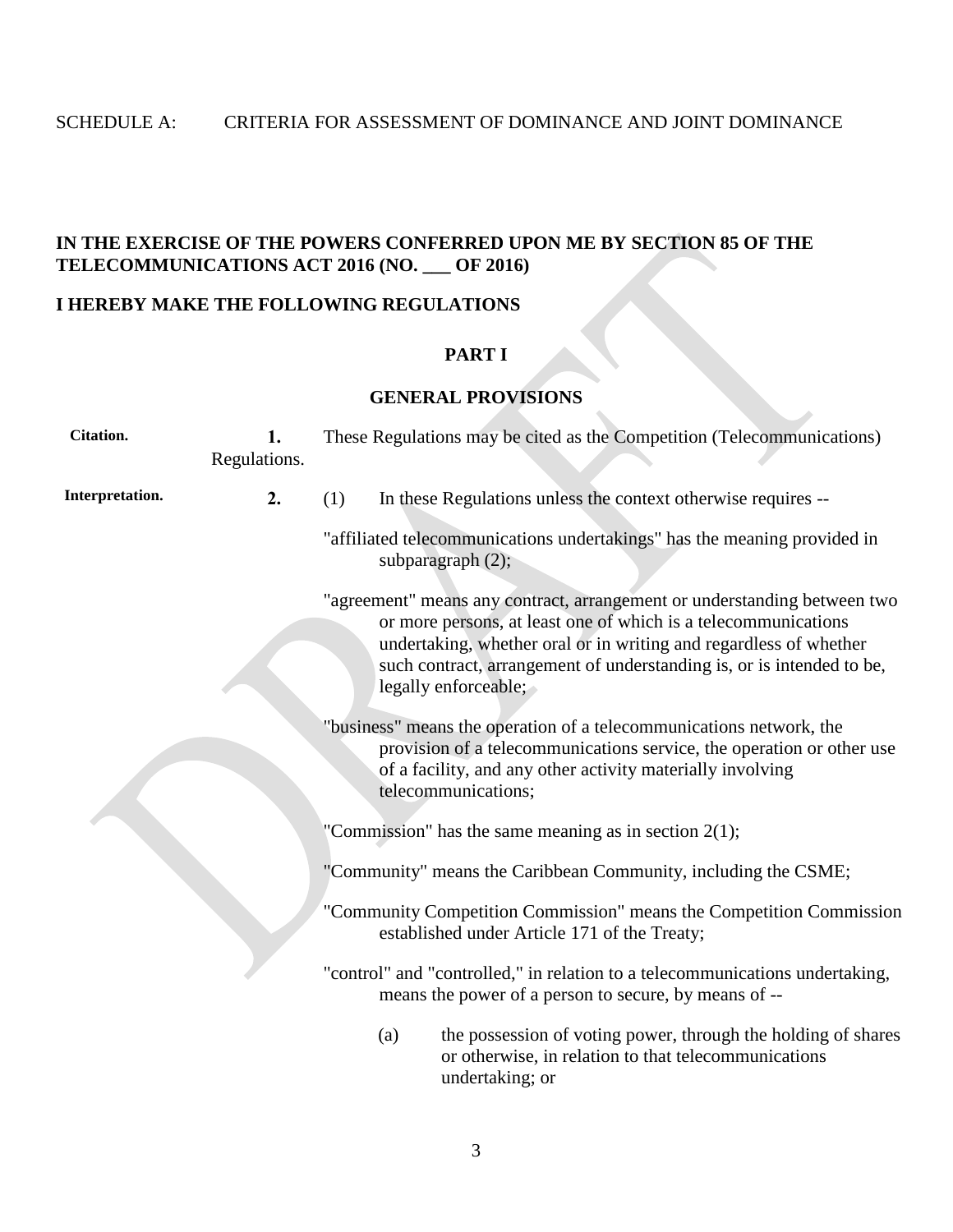# **IN THE EXERCISE OF THE POWERS CONFERRED UPON ME BY SECTION 85 OF THE TELECOMMUNICATIONS ACT 2016 (NO. \_\_\_ OF 2016)**

### **I HEREBY MAKE THE FOLLOWING REGULATIONS**

#### **PART I**

### **GENERAL PROVISIONS**

| <b>Citation.</b> | 1.<br>Regulations. |                                                          | These Regulations may be cited as the Competition (Telecommunications)                                                                                                                                                                                                                                           |  |  |  |
|------------------|--------------------|----------------------------------------------------------|------------------------------------------------------------------------------------------------------------------------------------------------------------------------------------------------------------------------------------------------------------------------------------------------------------------|--|--|--|
| Interpretation.  | 2.                 | (1)                                                      | In these Regulations unless the context otherwise requires --                                                                                                                                                                                                                                                    |  |  |  |
|                  |                    |                                                          | "affiliated telecommunications undertakings" has the meaning provided in<br>subparagraph $(2)$ ;                                                                                                                                                                                                                 |  |  |  |
|                  |                    |                                                          | "agreement" means any contract, arrangement or understanding between two<br>or more persons, at least one of which is a telecommunications<br>undertaking, whether oral or in writing and regardless of whether<br>such contract, arrangement of understanding is, or is intended to be,<br>legally enforceable; |  |  |  |
|                  |                    |                                                          | "business" means the operation of a telecommunications network, the<br>provision of a telecommunications service, the operation or other use<br>of a facility, and any other activity materially involving<br>telecommunications;                                                                                |  |  |  |
|                  |                    | "Commission" has the same meaning as in section $2(1)$ ; |                                                                                                                                                                                                                                                                                                                  |  |  |  |
|                  |                    |                                                          | "Community" means the Caribbean Community, including the CSME;                                                                                                                                                                                                                                                   |  |  |  |
|                  |                    |                                                          | "Community Competition Commission" means the Competition Commission<br>established under Article 171 of the Treaty;                                                                                                                                                                                              |  |  |  |
|                  |                    |                                                          | "control" and "controlled," in relation to a telecommunications undertaking,<br>means the power of a person to secure, by means of --                                                                                                                                                                            |  |  |  |
|                  |                    | (a)                                                      | the possession of voting power, through the holding of shares<br>or otherwise, in relation to that telecommunications<br>undertaking; or                                                                                                                                                                         |  |  |  |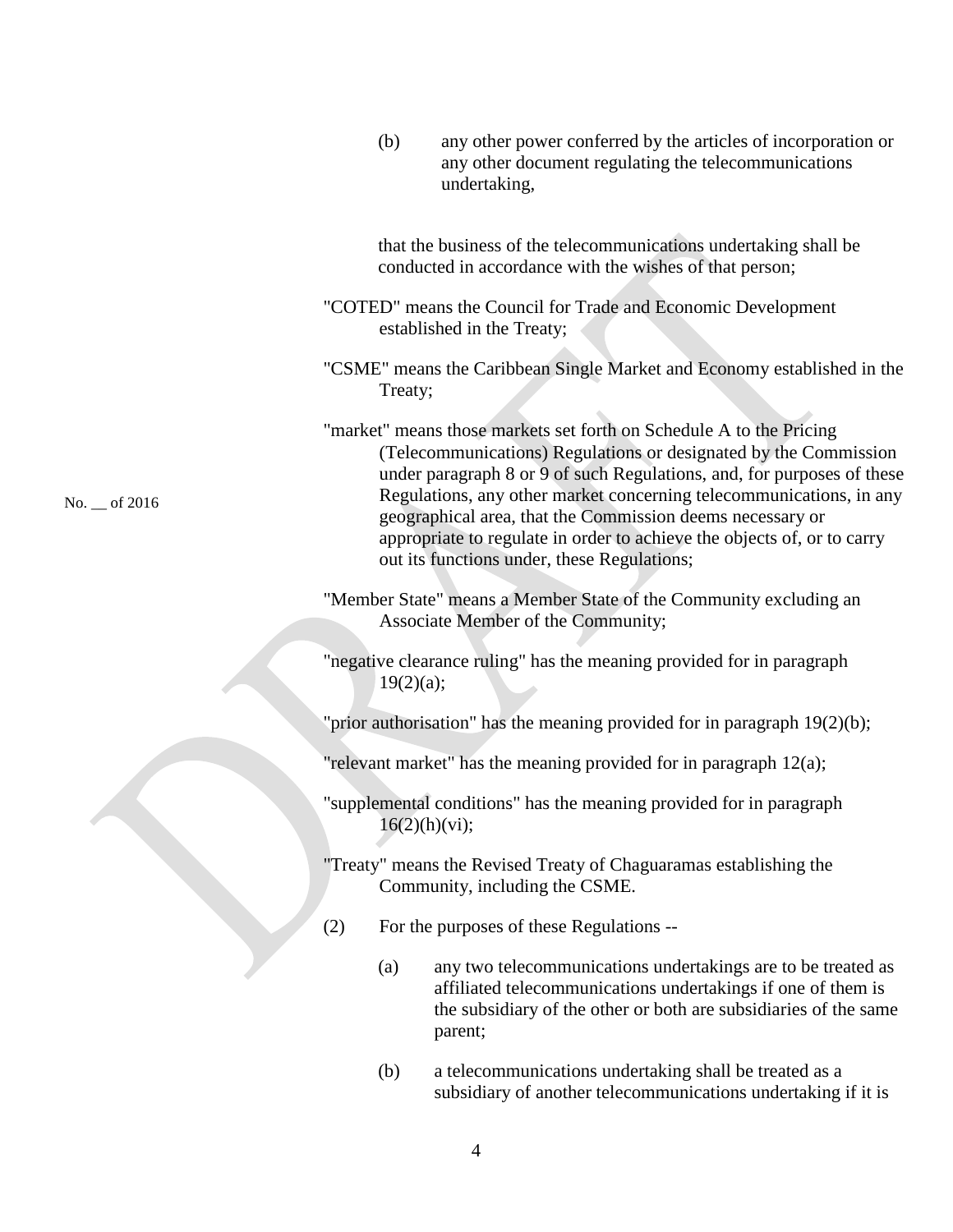|             |     | (b)           | any other power conferred by the articles of incorporation or<br>any other document regulating the telecommunications<br>undertaking,                                                                                                                                                                                                                                                                                                                                           |
|-------------|-----|---------------|---------------------------------------------------------------------------------------------------------------------------------------------------------------------------------------------------------------------------------------------------------------------------------------------------------------------------------------------------------------------------------------------------------------------------------------------------------------------------------|
|             |     |               | that the business of the telecommunications undertaking shall be<br>conducted in accordance with the wishes of that person;                                                                                                                                                                                                                                                                                                                                                     |
|             |     |               | "COTED" means the Council for Trade and Economic Development<br>established in the Treaty;                                                                                                                                                                                                                                                                                                                                                                                      |
|             |     | Treaty;       | "CSME" means the Caribbean Single Market and Economy established in the                                                                                                                                                                                                                                                                                                                                                                                                         |
| $-$ of 2016 |     |               | "market" means those markets set forth on Schedule A to the Pricing<br>(Telecommunications) Regulations or designated by the Commission<br>under paragraph 8 or 9 of such Regulations, and, for purposes of these<br>Regulations, any other market concerning telecommunications, in any<br>geographical area, that the Commission deems necessary or<br>appropriate to regulate in order to achieve the objects of, or to carry<br>out its functions under, these Regulations; |
|             |     |               | "Member State" means a Member State of the Community excluding an<br>Associate Member of the Community;                                                                                                                                                                                                                                                                                                                                                                         |
|             |     | 19(2)(a);     | "negative clearance ruling" has the meaning provided for in paragraph                                                                                                                                                                                                                                                                                                                                                                                                           |
|             |     |               | "prior authorisation" has the meaning provided for in paragraph $19(2)(b)$ ;                                                                                                                                                                                                                                                                                                                                                                                                    |
|             |     |               | "relevant market" has the meaning provided for in paragraph $12(a)$ ;                                                                                                                                                                                                                                                                                                                                                                                                           |
|             |     | 16(2)(h)(vi); | "supplemental conditions" has the meaning provided for in paragraph                                                                                                                                                                                                                                                                                                                                                                                                             |
|             |     |               | "Treaty" means the Revised Treaty of Chaguaramas establishing the<br>Community, including the CSME.                                                                                                                                                                                                                                                                                                                                                                             |
|             | (2) |               | For the purposes of these Regulations --                                                                                                                                                                                                                                                                                                                                                                                                                                        |
|             |     | (a)           | any two telecommunications undertakings are to be treated as                                                                                                                                                                                                                                                                                                                                                                                                                    |

No. \_\_ of 2016

- affiliated telecommunications undertakings if one of them is the subsidiary of the other or both are subsidiaries of the same parent;
- (b) a telecommunications undertaking shall be treated as a subsidiary of another telecommunications undertaking if it is

4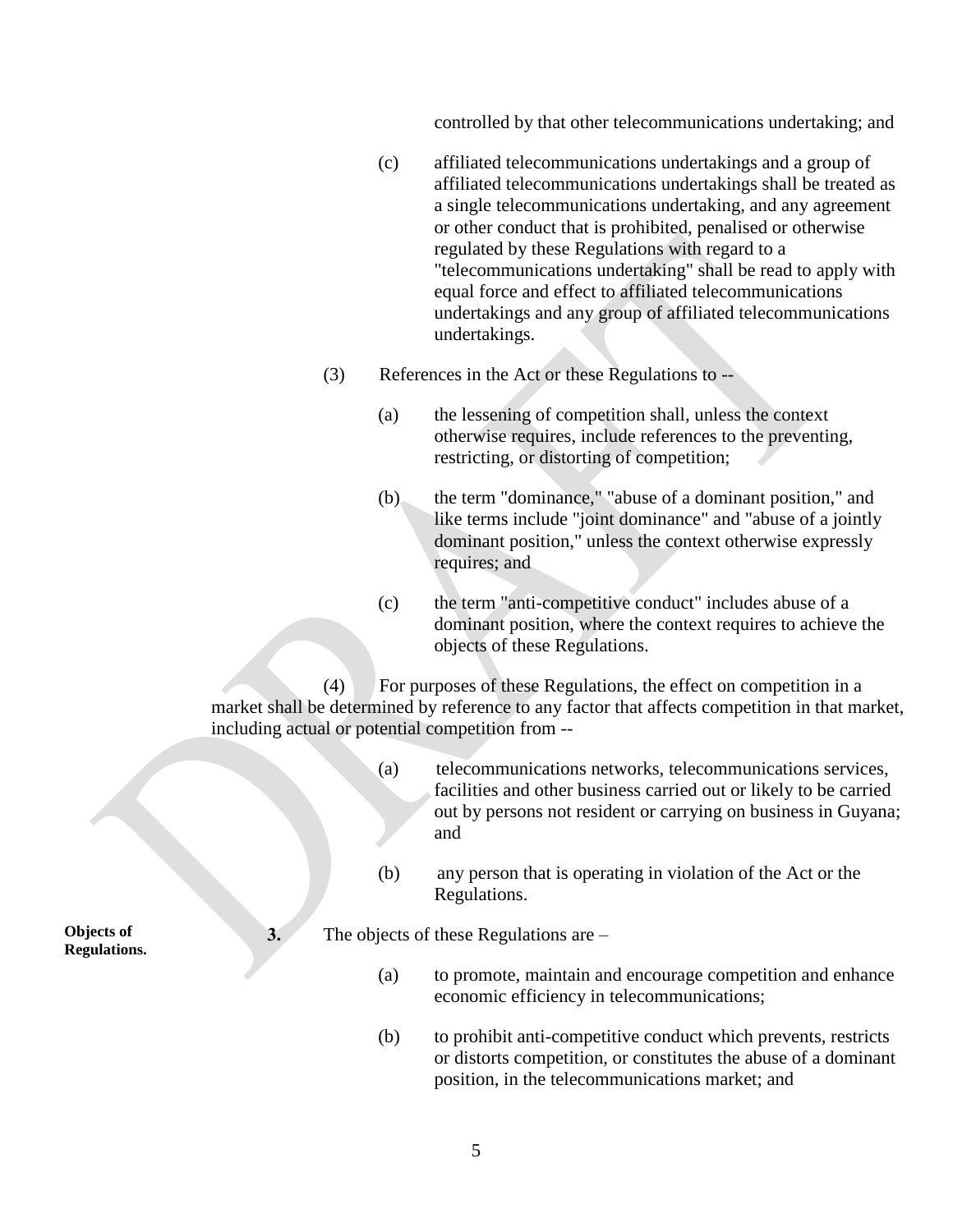controlled by that other telecommunications undertaking; and

- (c) affiliated telecommunications undertakings and a group of affiliated telecommunications undertakings shall be treated as a single telecommunications undertaking, and any agreement or other conduct that is prohibited, penalised or otherwise regulated by these Regulations with regard to a "telecommunications undertaking" shall be read to apply with equal force and effect to affiliated telecommunications undertakings and any group of affiliated telecommunications undertakings.
- (3) References in the Act or these Regulations to --
	- (a) the lessening of competition shall, unless the context otherwise requires, include references to the preventing, restricting, or distorting of competition;
	- (b) the term "dominance," "abuse of a dominant position," and like terms include "joint dominance" and "abuse of a jointly dominant position," unless the context otherwise expressly requires; and
	- (c) the term "anti-competitive conduct" includes abuse of a dominant position, where the context requires to achieve the objects of these Regulations.

(4) For purposes of these Regulations, the effect on competition in a market shall be determined by reference to any factor that affects competition in that market, including actual or potential competition from --

- (a) telecommunications networks, telecommunications services, facilities and other business carried out or likely to be carried out by persons not resident or carrying on business in Guyana; and
- (b) any person that is operating in violation of the Act or the Regulations.

**3.** The objects of these Regulations are –

- (a) to promote, maintain and encourage competition and enhance economic efficiency in telecommunications;
- (b) to prohibit anti-competitive conduct which prevents, restricts or distorts competition, or constitutes the abuse of a dominant position, in the telecommunications market; and

**Objects of Regulations.**

5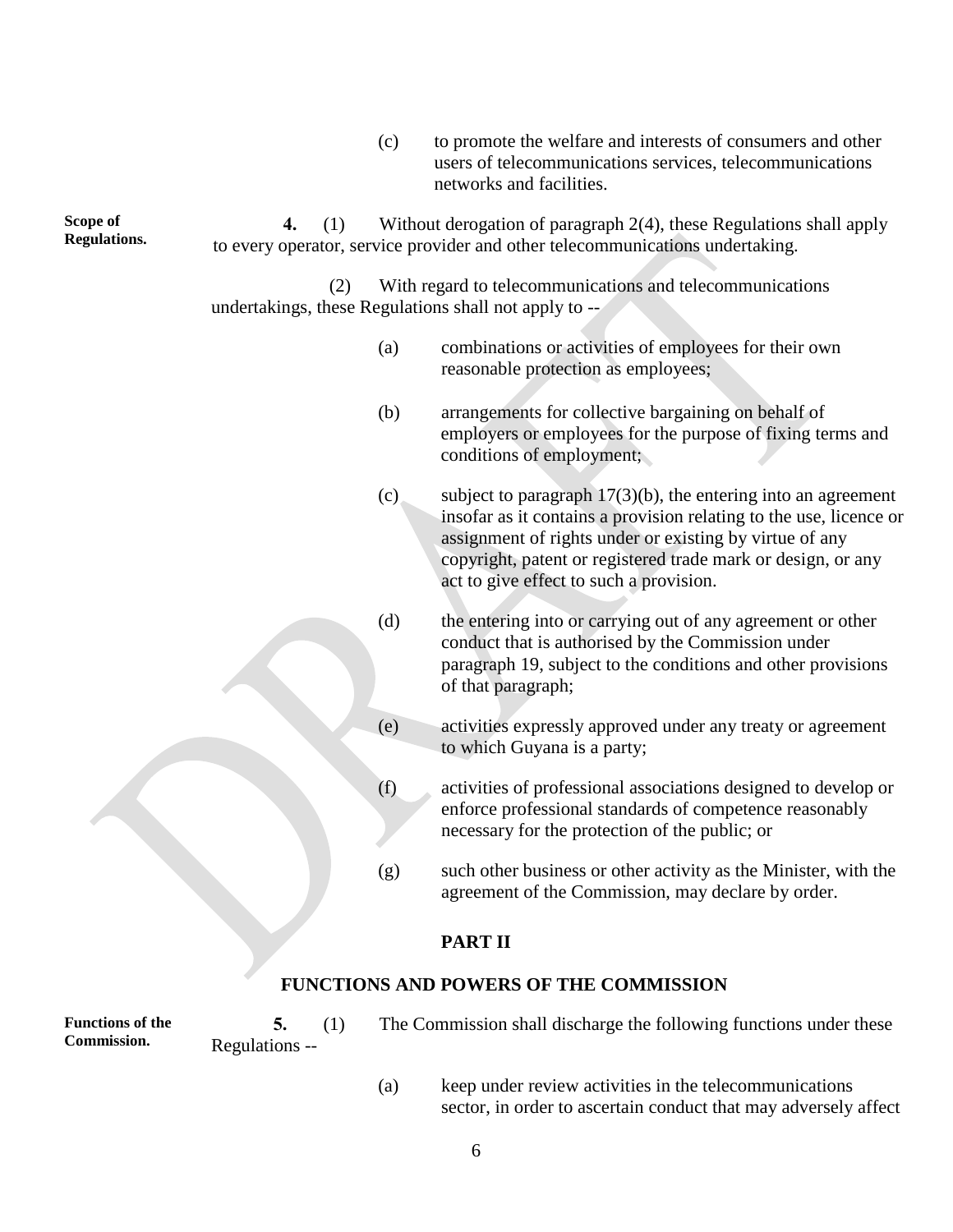(c) to promote the welfare and interests of consumers and other users of telecommunications services, telecommunications networks and facilities.

| Scope of<br><b>Regulations.</b> | 4. | (1) |                                                                                                                   | Without derogation of paragraph 2(4), these Regulations shall apply<br>to every operator, service provider and other telecommunications undertaking.                                                                                                                                                         |  |  |
|---------------------------------|----|-----|-------------------------------------------------------------------------------------------------------------------|--------------------------------------------------------------------------------------------------------------------------------------------------------------------------------------------------------------------------------------------------------------------------------------------------------------|--|--|
|                                 |    | (2) | With regard to telecommunications and telecommunications<br>undertakings, these Regulations shall not apply to -- |                                                                                                                                                                                                                                                                                                              |  |  |
|                                 |    |     | (a)                                                                                                               | combinations or activities of employees for their own<br>reasonable protection as employees;                                                                                                                                                                                                                 |  |  |
|                                 |    |     | (b)                                                                                                               | arrangements for collective bargaining on behalf of<br>employers or employees for the purpose of fixing terms and<br>conditions of employment;                                                                                                                                                               |  |  |
|                                 |    |     | (c)                                                                                                               | subject to paragraph $17(3)(b)$ , the entering into an agreement<br>insofar as it contains a provision relating to the use, licence or<br>assignment of rights under or existing by virtue of any<br>copyright, patent or registered trade mark or design, or any<br>act to give effect to such a provision. |  |  |
|                                 |    |     | (d)                                                                                                               | the entering into or carrying out of any agreement or other<br>conduct that is authorised by the Commission under<br>paragraph 19, subject to the conditions and other provisions<br>of that paragraph;                                                                                                      |  |  |
|                                 |    |     | (e)                                                                                                               | activities expressly approved under any treaty or agreement<br>to which Guyana is a party;                                                                                                                                                                                                                   |  |  |
|                                 |    |     | (f)                                                                                                               | activities of professional associations designed to develop or<br>enforce professional standards of competence reasonably<br>necessary for the protection of the public; or                                                                                                                                  |  |  |
|                                 |    |     | (g)                                                                                                               | such other business or other activity as the Minister, with the<br>agreement of the Commission, may declare by order.                                                                                                                                                                                        |  |  |
|                                 |    |     |                                                                                                                   | <b>PART II</b>                                                                                                                                                                                                                                                                                               |  |  |

# **FUNCTIONS AND POWERS OF THE COMMISSION**

**Functions of the Commission.**

Regulations --

- **5.** (1) The Commission shall discharge the following functions under these
	- (a) keep under review activities in the telecommunications sector, in order to ascertain conduct that may adversely affect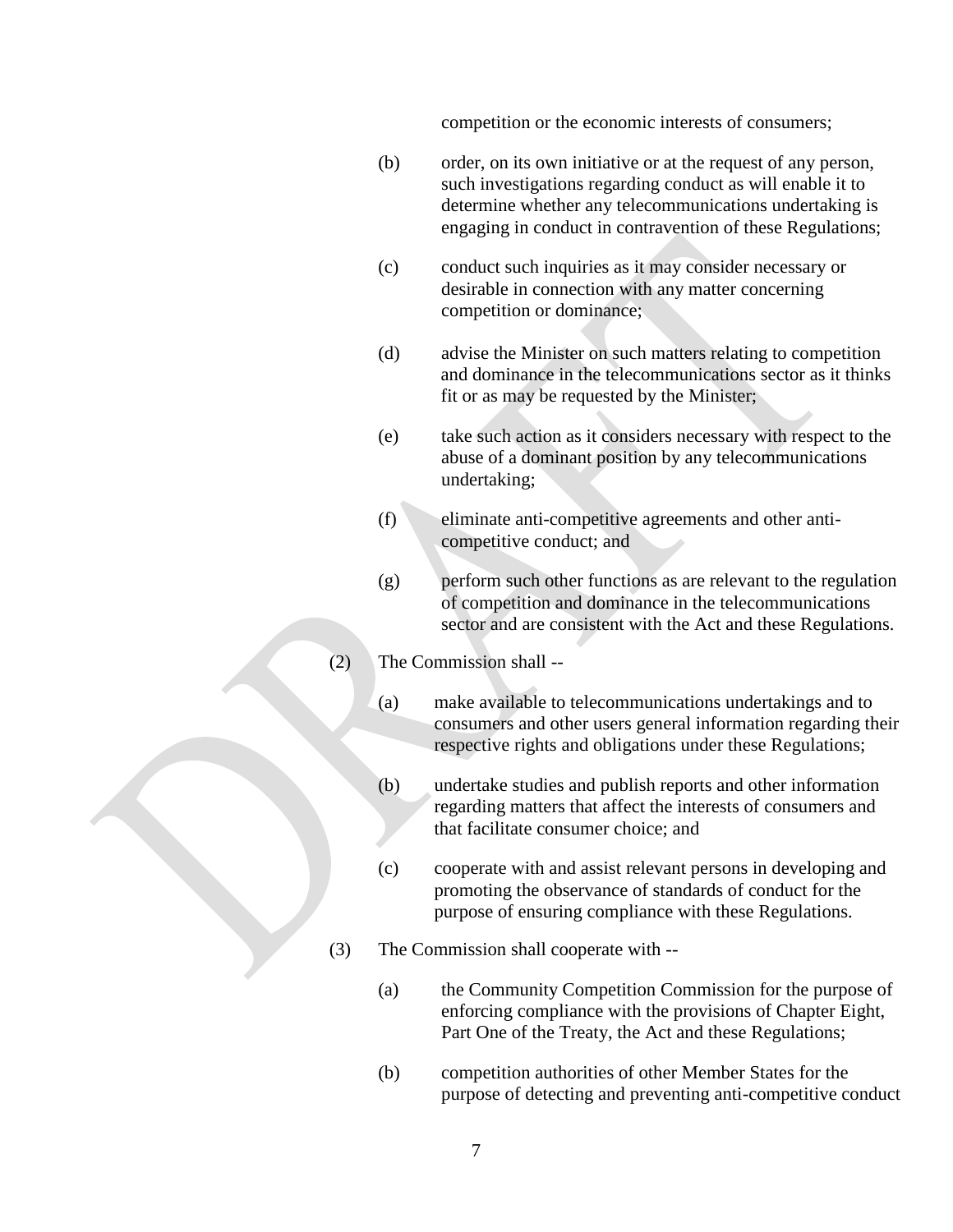competition or the economic interests of consumers;

- (b) order, on its own initiative or at the request of any person, such investigations regarding conduct as will enable it to determine whether any telecommunications undertaking is engaging in conduct in contravention of these Regulations;
- (c) conduct such inquiries as it may consider necessary or desirable in connection with any matter concerning competition or dominance;
- (d) advise the Minister on such matters relating to competition and dominance in the telecommunications sector as it thinks fit or as may be requested by the Minister;
- (e) take such action as it considers necessary with respect to the abuse of a dominant position by any telecommunications undertaking;
- (f) eliminate anti-competitive agreements and other anticompetitive conduct; and
- (g) perform such other functions as are relevant to the regulation of competition and dominance in the telecommunications sector and are consistent with the Act and these Regulations.
- (2) The Commission shall --
	- (a) make available to telecommunications undertakings and to consumers and other users general information regarding their respective rights and obligations under these Regulations;
	- (b) undertake studies and publish reports and other information regarding matters that affect the interests of consumers and that facilitate consumer choice; and
	- (c) cooperate with and assist relevant persons in developing and promoting the observance of standards of conduct for the purpose of ensuring compliance with these Regulations.
- (3) The Commission shall cooperate with --
	- (a) the Community Competition Commission for the purpose of enforcing compliance with the provisions of Chapter Eight, Part One of the Treaty, the Act and these Regulations;
	- (b) competition authorities of other Member States for the purpose of detecting and preventing anti-competitive conduct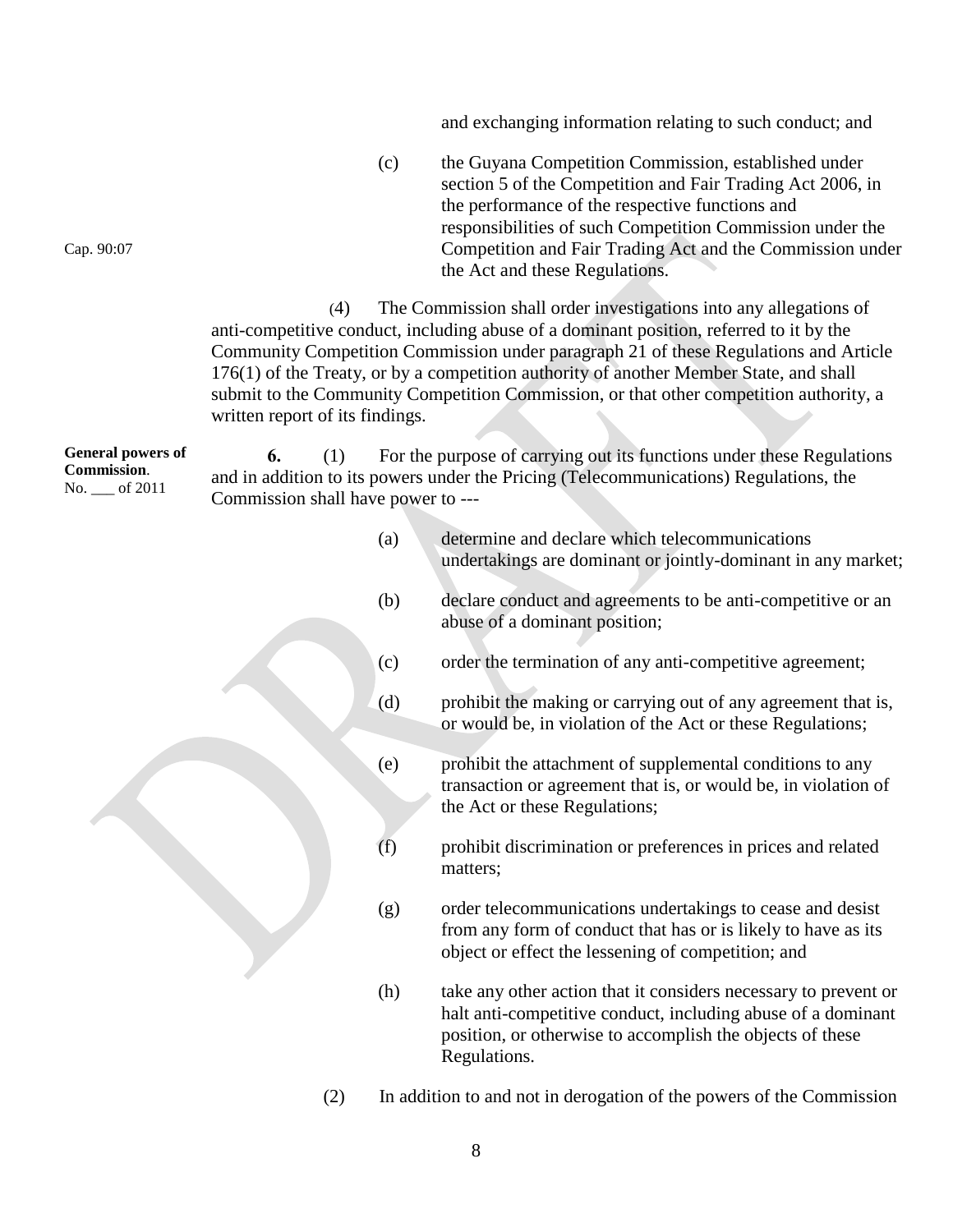and exchanging information relating to such conduct; and

(c) the Guyana Competition Commission, established under section 5 of the Competition and Fair Trading Act 2006, in the performance of the respective functions and responsibilities of such Competition Commission under the Competition and Fair Trading Act and the Commission under the Act and these Regulations.

(4) The Commission shall order investigations into any allegations of anti-competitive conduct, including abuse of a dominant position, referred to it by the Community Competition Commission under paragraph 21 of these Regulations and Article 176(1) of the Treaty, or by a competition authority of another Member State, and shall submit to the Community Competition Commission, or that other competition authority, a written report of its findings.

**General powers of Commission**. No. \_\_\_ of 2011 **6.** (1) For the purpose of carrying out its functions under these Regulations and in addition to its powers under the Pricing (Telecommunications) Regulations, the Commission shall have power to ---

- (a) determine and declare which telecommunications undertakings are dominant or jointly-dominant in any market;
- (b) declare conduct and agreements to be anti-competitive or an abuse of a dominant position;
- (c) order the termination of any anti-competitive agreement;
- (d) prohibit the making or carrying out of any agreement that is, or would be, in violation of the Act or these Regulations;
- (e) prohibit the attachment of supplemental conditions to any transaction or agreement that is, or would be, in violation of the Act or these Regulations;
- (f) prohibit discrimination or preferences in prices and related matters;
- (g) order telecommunications undertakings to cease and desist from any form of conduct that has or is likely to have as its object or effect the lessening of competition; and
- (h) take any other action that it considers necessary to prevent or halt anti-competitive conduct, including abuse of a dominant position, or otherwise to accomplish the objects of these Regulations.
- (2) In addition to and not in derogation of the powers of the Commission

Cap. 90:07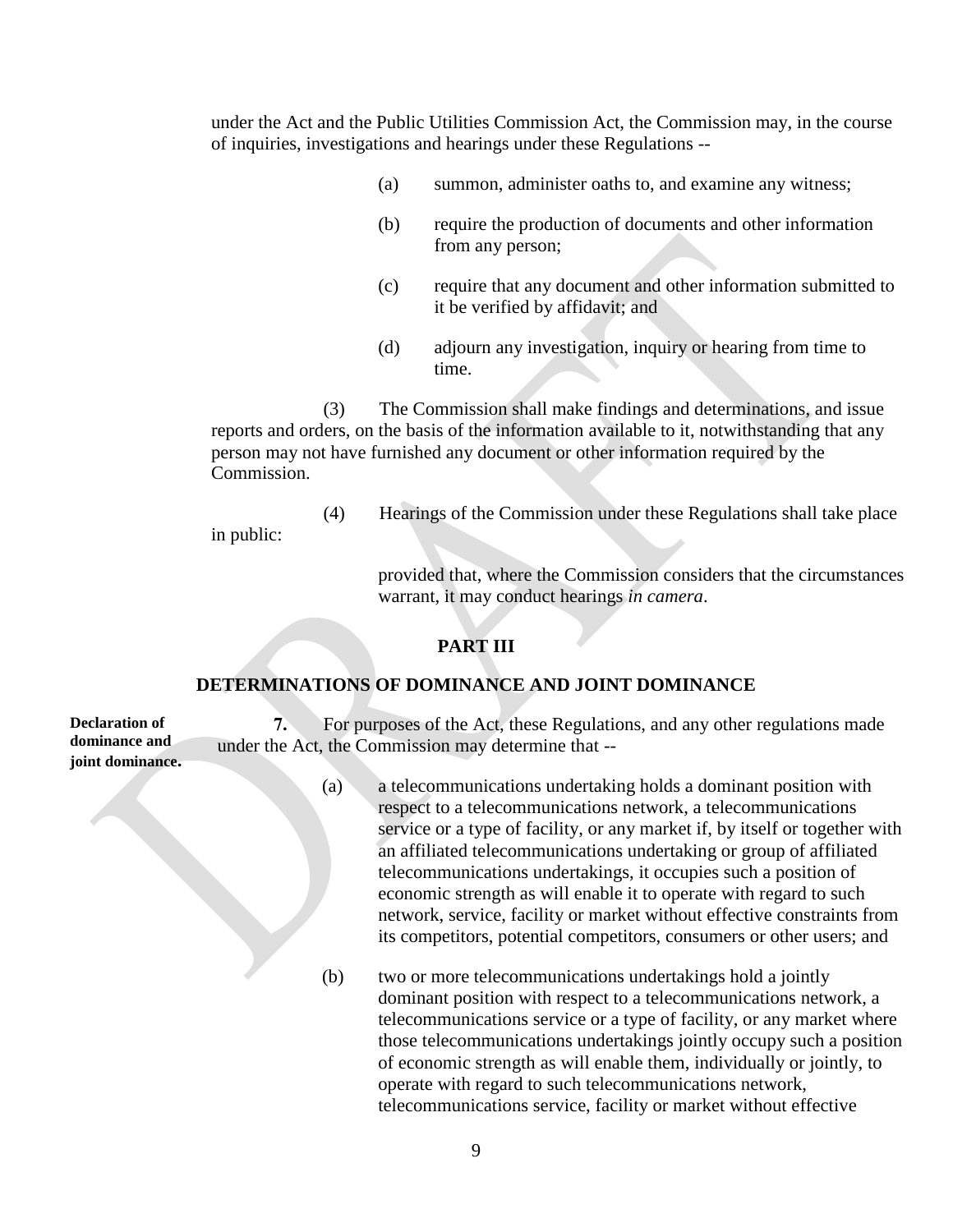under the Act and the Public Utilities Commission Act, the Commission may, in the course of inquiries, investigations and hearings under these Regulations --

- (a) summon, administer oaths to, and examine any witness;
- (b) require the production of documents and other information from any person;
- (c) require that any document and other information submitted to it be verified by affidavit; and
- (d) adjourn any investigation, inquiry or hearing from time to time.

(3) The Commission shall make findings and determinations, and issue reports and orders, on the basis of the information available to it, notwithstanding that any person may not have furnished any document or other information required by the Commission.

(4) Hearings of the Commission under these Regulations shall take place in public:

> provided that, where the Commission considers that the circumstances warrant, it may conduct hearings *in camera*.

# **PART III**

## **DETERMINATIONS OF DOMINANCE AND JOINT DOMINANCE**

**Declaration of dominance and joint dominance.**

**7.** For purposes of the Act, these Regulations, and any other regulations made under the Act, the Commission may determine that --

- (a) a telecommunications undertaking holds a dominant position with respect to a telecommunications network, a telecommunications service or a type of facility, or any market if, by itself or together with an affiliated telecommunications undertaking or group of affiliated telecommunications undertakings, it occupies such a position of economic strength as will enable it to operate with regard to such network, service, facility or market without effective constraints from its competitors, potential competitors, consumers or other users; and
- 

(b) two or more telecommunications undertakings hold a jointly dominant position with respect to a telecommunications network, a telecommunications service or a type of facility, or any market where those telecommunications undertakings jointly occupy such a position of economic strength as will enable them, individually or jointly, to operate with regard to such telecommunications network, telecommunications service, facility or market without effective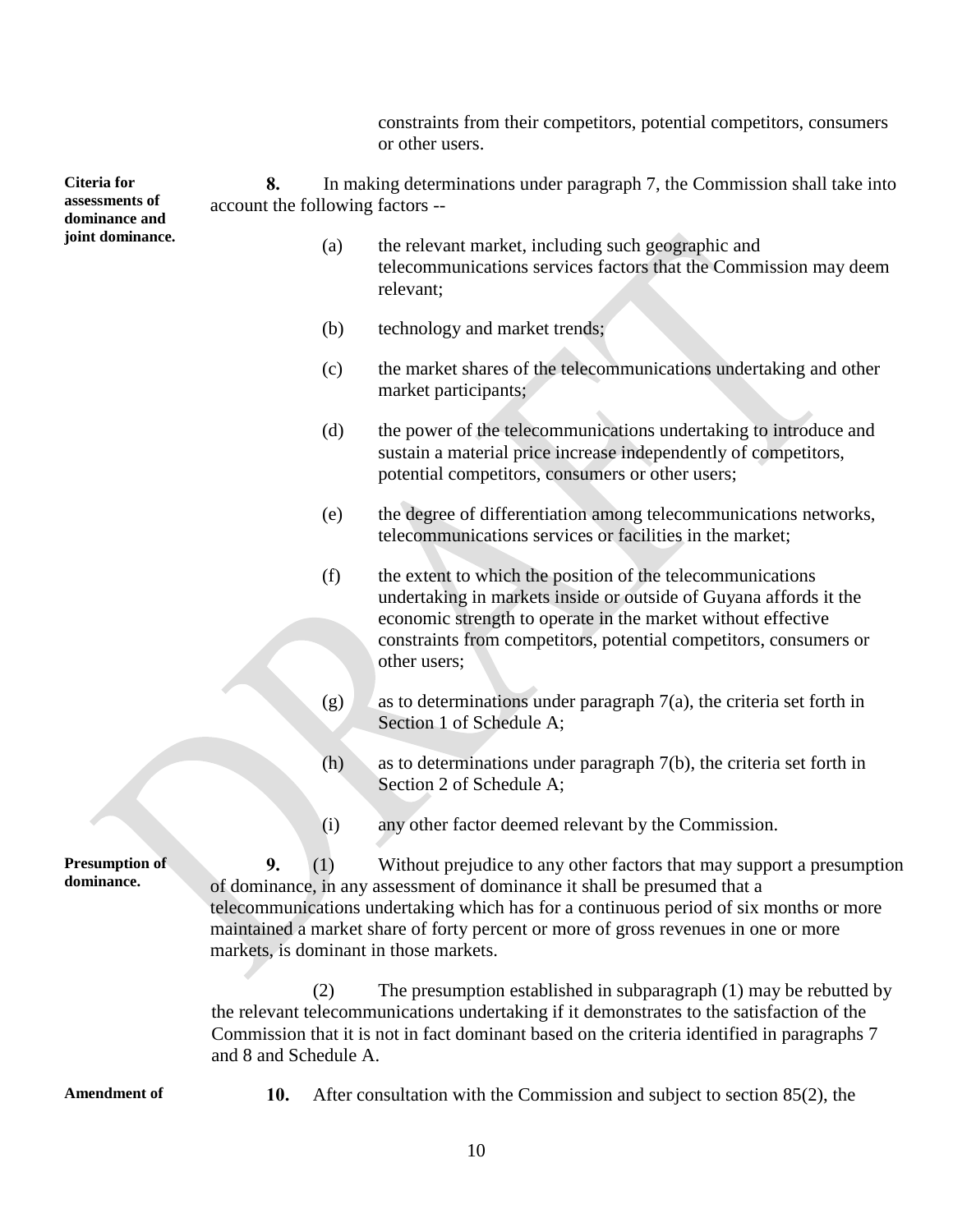constraints from their competitors, potential competitors, consumers or other users.

**Citeria for assessments of dominance and joint dominance. 8.** In making determinations under paragraph 7, the Commission shall take into account the following factors --

- (a) the relevant market, including such geographic and telecommunications services factors that the Commission may deem relevant;
- (b) technology and market trends;
- (c) the market shares of the telecommunications undertaking and other market participants;
- (d) the power of the telecommunications undertaking to introduce and sustain a material price increase independently of competitors, potential competitors, consumers or other users;
- (e) the degree of differentiation among telecommunications networks, telecommunications services or facilities in the market;
- (f) the extent to which the position of the telecommunications undertaking in markets inside or outside of Guyana affords it the economic strength to operate in the market without effective constraints from competitors, potential competitors, consumers or other users;
- $(g)$  as to determinations under paragraph 7(a), the criteria set forth in Section 1 of Schedule A;
- (h) as to determinations under paragraph 7(b), the criteria set forth in Section 2 of Schedule A;
- (i) any other factor deemed relevant by the Commission.

**9.** (1) Without prejudice to any other factors that may support a presumption of dominance, in any assessment of dominance it shall be presumed that a telecommunications undertaking which has for a continuous period of six months or more maintained a market share of forty percent or more of gross revenues in one or more markets, is dominant in those markets.

(2) The presumption established in subparagraph (1) may be rebutted by the relevant telecommunications undertaking if it demonstrates to the satisfaction of the Commission that it is not in fact dominant based on the criteria identified in paragraphs 7 and 8 and Schedule A.

**Presumption of dominance.**

**Amendment of 10.** After consultation with the Commission and subject to section 85(2), the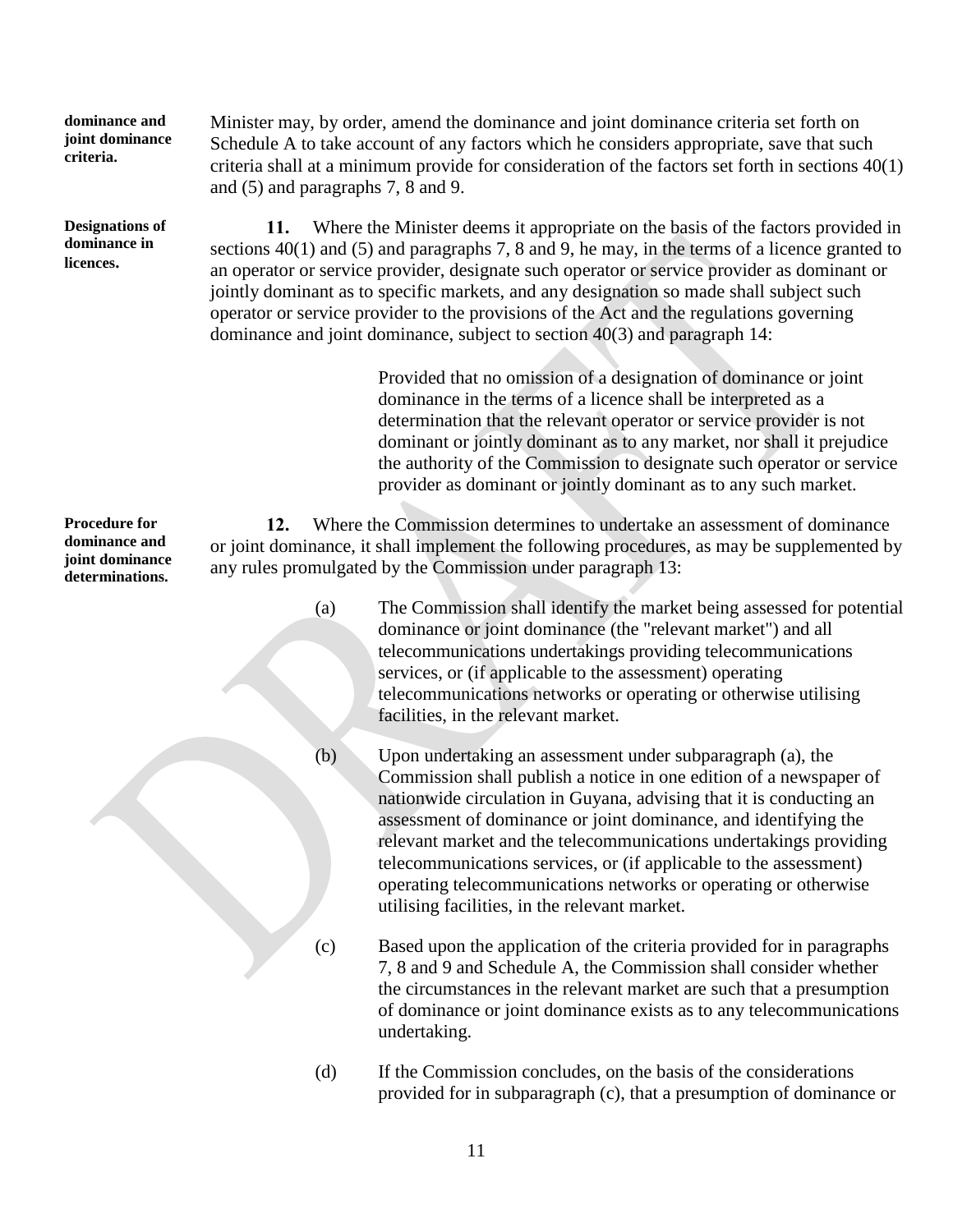**dominance and joint dominance criteria.**

**Designations of dominance in licences.**

**Procedure for dominance and joint dominance determinations.**

Minister may, by order, amend the dominance and joint dominance criteria set forth on Schedule A to take account of any factors which he considers appropriate, save that such criteria shall at a minimum provide for consideration of the factors set forth in sections 40(1) and (5) and paragraphs 7, 8 and 9.

**11.** Where the Minister deems it appropriate on the basis of the factors provided in sections 40(1) and (5) and paragraphs 7, 8 and 9, he may, in the terms of a licence granted to an operator or service provider, designate such operator or service provider as dominant or jointly dominant as to specific markets, and any designation so made shall subject such operator or service provider to the provisions of the Act and the regulations governing dominance and joint dominance, subject to section 40(3) and paragraph 14:

> Provided that no omission of a designation of dominance or joint dominance in the terms of a licence shall be interpreted as a determination that the relevant operator or service provider is not dominant or jointly dominant as to any market, nor shall it prejudice the authority of the Commission to designate such operator or service provider as dominant or jointly dominant as to any such market.

**12.** Where the Commission determines to undertake an assessment of dominance or joint dominance, it shall implement the following procedures, as may be supplemented by any rules promulgated by the Commission under paragraph 13:

- (a) The Commission shall identify the market being assessed for potential dominance or joint dominance (the "relevant market") and all telecommunications undertakings providing telecommunications services, or (if applicable to the assessment) operating telecommunications networks or operating or otherwise utilising facilities, in the relevant market.
	-
	- (b) Upon undertaking an assessment under subparagraph (a), the Commission shall publish a notice in one edition of a newspaper of nationwide circulation in Guyana, advising that it is conducting an assessment of dominance or joint dominance, and identifying the relevant market and the telecommunications undertakings providing telecommunications services, or (if applicable to the assessment) operating telecommunications networks or operating or otherwise utilising facilities, in the relevant market.
- 
- (c) Based upon the application of the criteria provided for in paragraphs 7, 8 and 9 and Schedule A, the Commission shall consider whether the circumstances in the relevant market are such that a presumption of dominance or joint dominance exists as to any telecommunications undertaking.
- (d) If the Commission concludes, on the basis of the considerations provided for in subparagraph (c), that a presumption of dominance or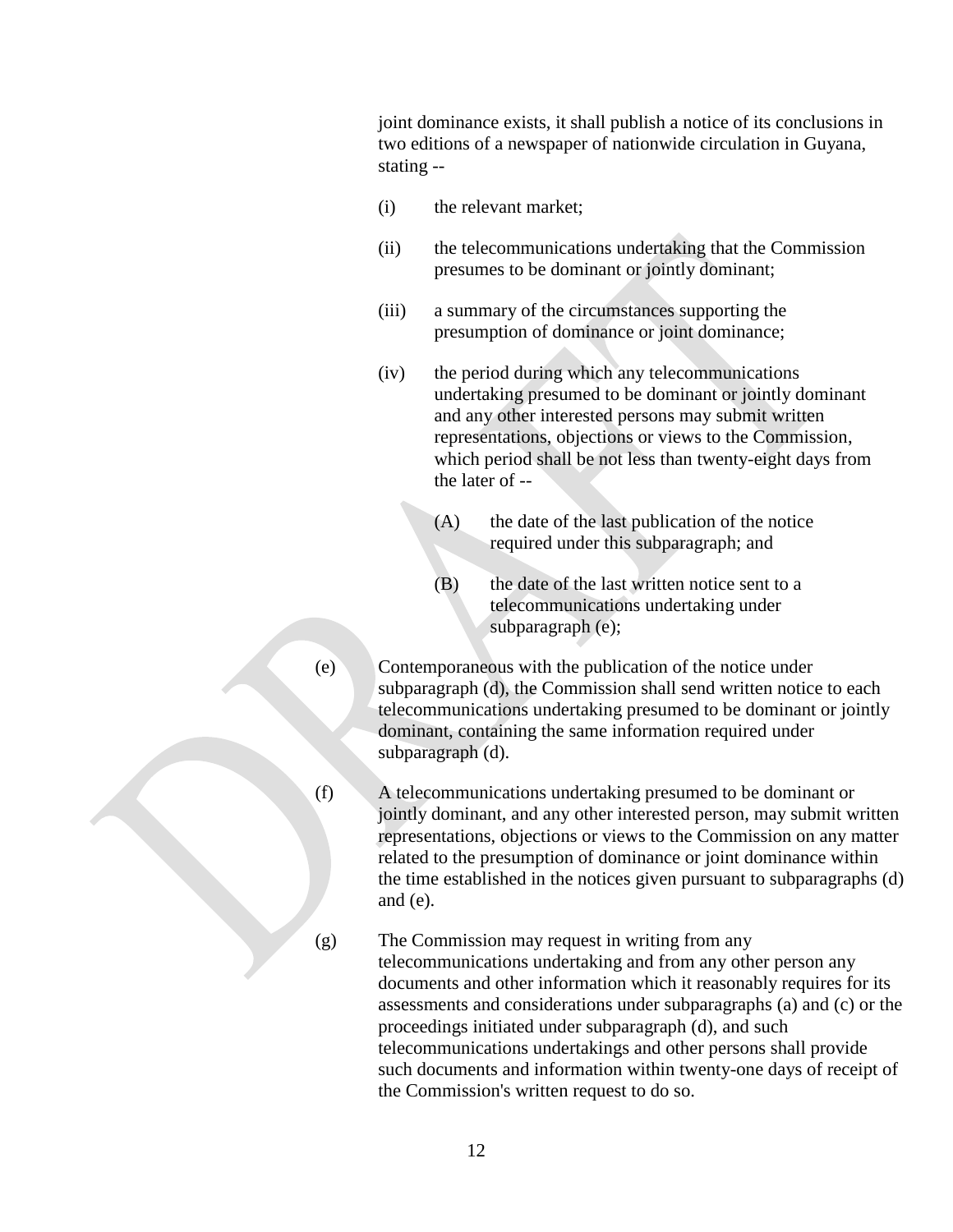joint dominance exists, it shall publish a notice of its conclusions in two editions of a newspaper of nationwide circulation in Guyana, stating --

- (i) the relevant market;
- (ii) the telecommunications undertaking that the Commission presumes to be dominant or jointly dominant;
- (iii) a summary of the circumstances supporting the presumption of dominance or joint dominance;
- (iv) the period during which any telecommunications undertaking presumed to be dominant or jointly dominant and any other interested persons may submit written representations, objections or views to the Commission, which period shall be not less than twenty-eight days from the later of --
	- (A) the date of the last publication of the notice required under this subparagraph; and
	- (B) the date of the last written notice sent to a telecommunications undertaking under subparagraph (e);
- (e) Contemporaneous with the publication of the notice under subparagraph (d), the Commission shall send written notice to each telecommunications undertaking presumed to be dominant or jointly dominant, containing the same information required under subparagraph (d).
- (f) A telecommunications undertaking presumed to be dominant or jointly dominant, and any other interested person, may submit written representations, objections or views to the Commission on any matter related to the presumption of dominance or joint dominance within the time established in the notices given pursuant to subparagraphs (d) and (e).
- 

(g) The Commission may request in writing from any telecommunications undertaking and from any other person any documents and other information which it reasonably requires for its assessments and considerations under subparagraphs (a) and (c) or the proceedings initiated under subparagraph (d), and such telecommunications undertakings and other persons shall provide such documents and information within twenty-one days of receipt of the Commission's written request to do so.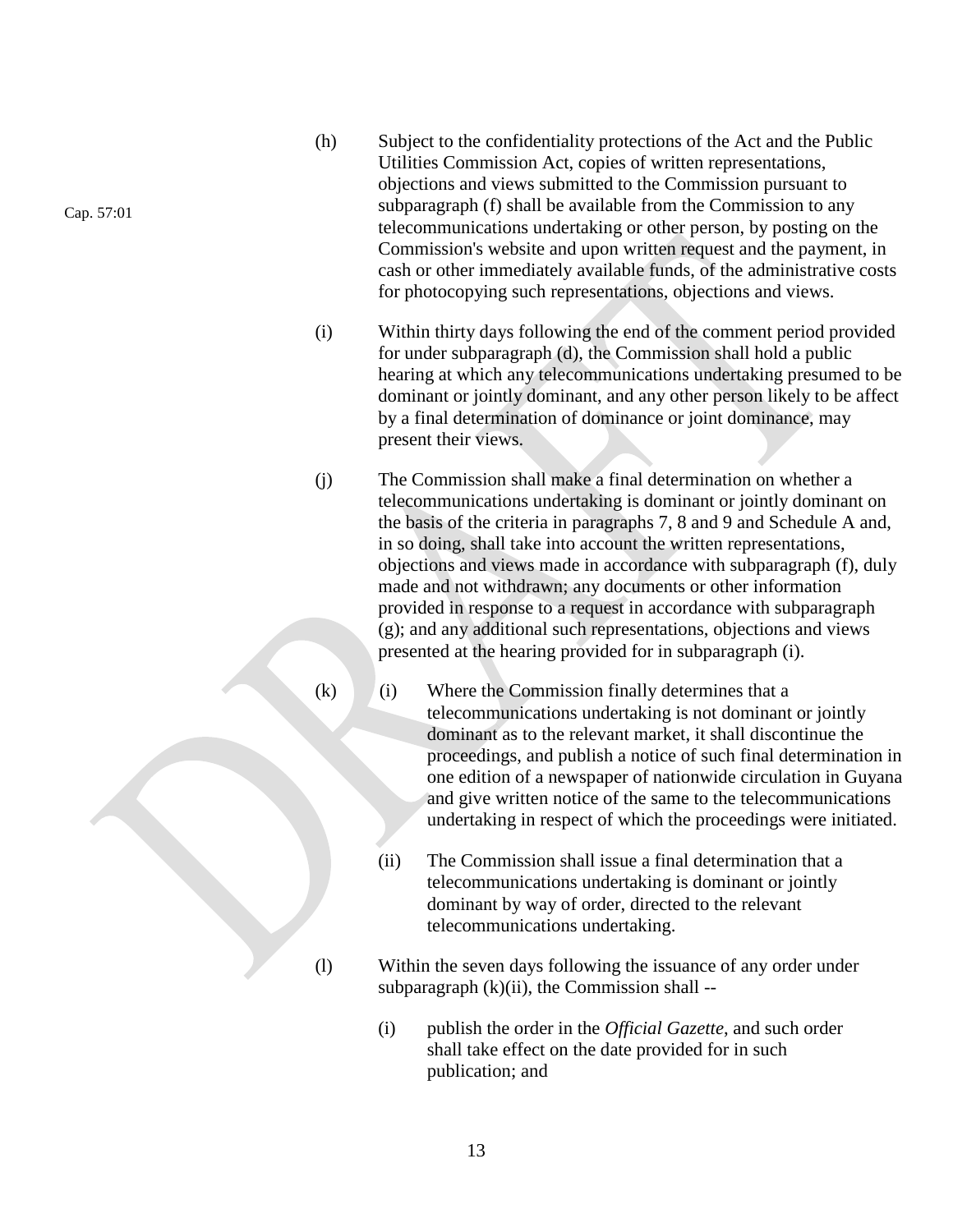- (h) Subject to the confidentiality protections of the Act and the Public Utilities Commission Act, copies of written representations, objections and views submitted to the Commission pursuant to subparagraph (f) shall be available from the Commission to any telecommunications undertaking or other person, by posting on the Commission's website and upon written request and the payment, in cash or other immediately available funds, of the administrative costs for photocopying such representations, objections and views.
- (i) Within thirty days following the end of the comment period provided for under subparagraph (d), the Commission shall hold a public hearing at which any telecommunications undertaking presumed to be dominant or jointly dominant, and any other person likely to be affect by a final determination of dominance or joint dominance, may present their views.
- (j) The Commission shall make a final determination on whether a telecommunications undertaking is dominant or jointly dominant on the basis of the criteria in paragraphs 7, 8 and 9 and Schedule A and, in so doing, shall take into account the written representations, objections and views made in accordance with subparagraph (f), duly made and not withdrawn; any documents or other information provided in response to a request in accordance with subparagraph (g); and any additional such representations, objections and views presented at the hearing provided for in subparagraph (i).
- (k) (i) Where the Commission finally determines that a telecommunications undertaking is not dominant or jointly dominant as to the relevant market, it shall discontinue the proceedings, and publish a notice of such final determination in one edition of a newspaper of nationwide circulation in Guyana and give written notice of the same to the telecommunications undertaking in respect of which the proceedings were initiated.
	- (ii) The Commission shall issue a final determination that a telecommunications undertaking is dominant or jointly dominant by way of order, directed to the relevant telecommunications undertaking.
- (l) Within the seven days following the issuance of any order under subparagraph  $(k)(ii)$ , the Commission shall --
	- (i) publish the order in the *Official Gazette*, and such order shall take effect on the date provided for in such publication; and

Cap. 57:01

13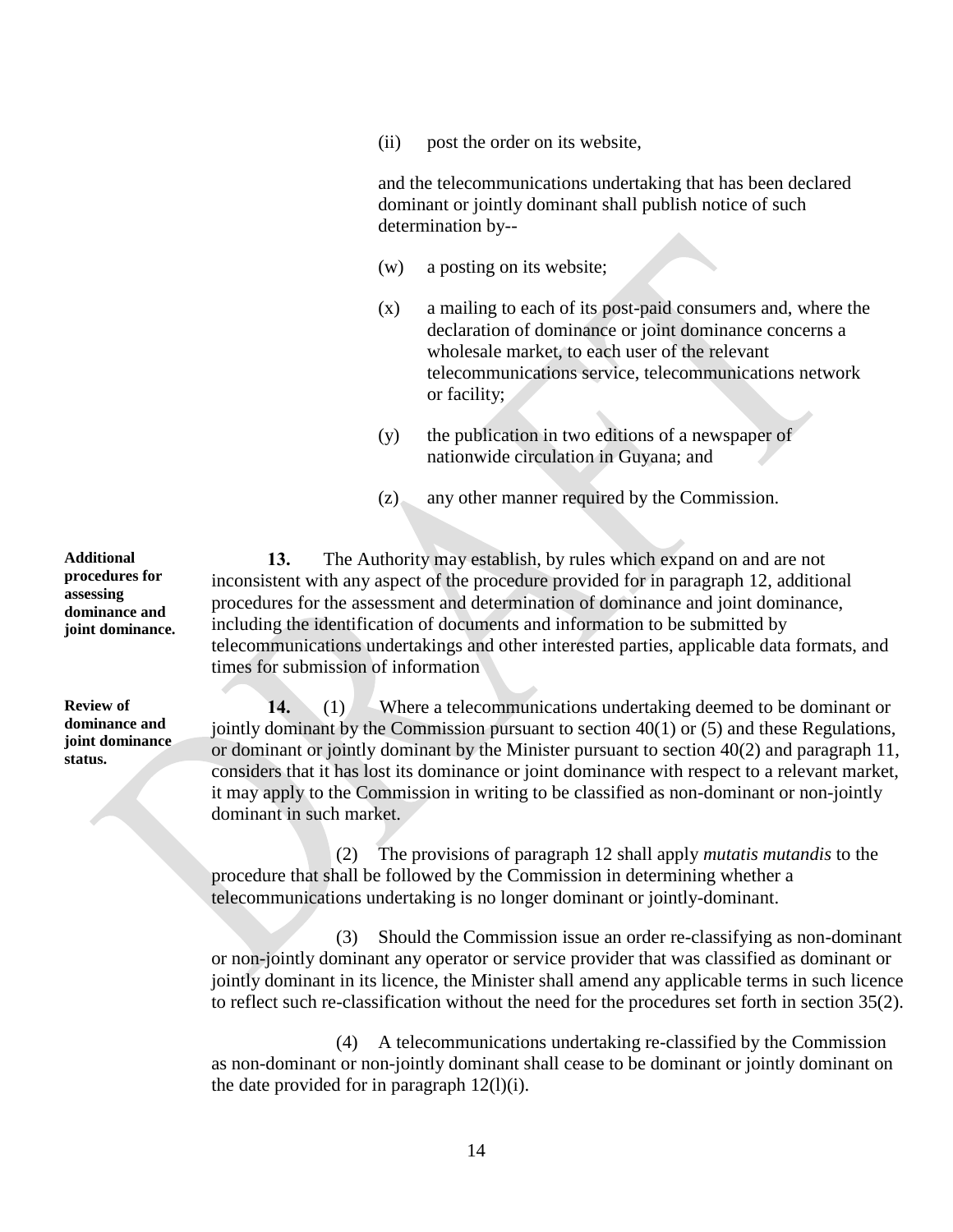(ii) post the order on its website,

and the telecommunications undertaking that has been declared dominant or jointly dominant shall publish notice of such determination by--

- (w) a posting on its website;
- (x) a mailing to each of its post-paid consumers and, where the declaration of dominance or joint dominance concerns a wholesale market, to each user of the relevant telecommunications service, telecommunications network or facility;
- (y) the publication in two editions of a newspaper of nationwide circulation in Guyana; and
- (z) any other manner required by the Commission.

**13.** The Authority may establish, by rules which expand on and are not inconsistent with any aspect of the procedure provided for in paragraph 12, additional procedures for the assessment and determination of dominance and joint dominance, including the identification of documents and information to be submitted by telecommunications undertakings and other interested parties, applicable data formats, and times for submission of information

**14.** (1) Where a telecommunications undertaking deemed to be dominant or jointly dominant by the Commission pursuant to section 40(1) or (5) and these Regulations, or dominant or jointly dominant by the Minister pursuant to section  $40(2)$  and paragraph 11, considers that it has lost its dominance or joint dominance with respect to a relevant market, it may apply to the Commission in writing to be classified as non-dominant or non-jointly dominant in such market.

(2) The provisions of paragraph 12 shall apply *mutatis mutandis* to the procedure that shall be followed by the Commission in determining whether a telecommunications undertaking is no longer dominant or jointly-dominant.

(3) Should the Commission issue an order re-classifying as non-dominant or non-jointly dominant any operator or service provider that was classified as dominant or jointly dominant in its licence, the Minister shall amend any applicable terms in such licence to reflect such re-classification without the need for the procedures set forth in section 35(2).

(4) A telecommunications undertaking re-classified by the Commission as non-dominant or non-jointly dominant shall cease to be dominant or jointly dominant on the date provided for in paragraph 12(l)(i).

**Additional procedures for assessing dominance and joint dominance.**

**Review of dominance and joint dominance status.**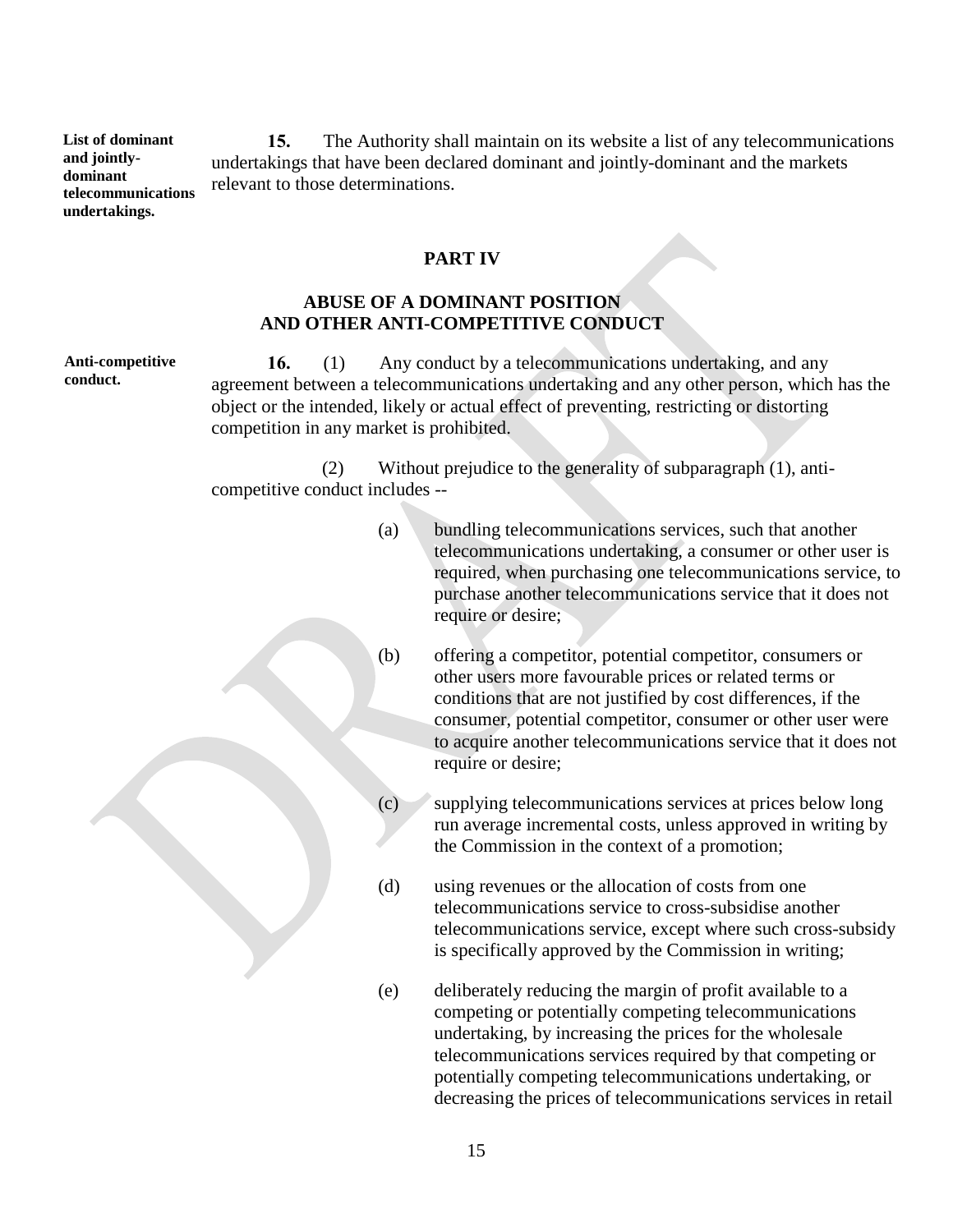**List of dominant and jointlydominant telecommunications undertakings. 15.** The Authority shall maintain on its website a list of any telecommunications undertakings that have been declared dominant and jointly-dominant and the markets relevant to those determinations.

### **PART IV**

### **ABUSE OF A DOMINANT POSITION AND OTHER ANTI-COMPETITIVE CONDUCT**

**Anti-competitive conduct.**

**16.** (1) Any conduct by a telecommunications undertaking, and any agreement between a telecommunications undertaking and any other person, which has the object or the intended, likely or actual effect of preventing, restricting or distorting competition in any market is prohibited.

(2) Without prejudice to the generality of subparagraph (1), anticompetitive conduct includes --

- (a) bundling telecommunications services, such that another telecommunications undertaking, a consumer or other user is required, when purchasing one telecommunications service, to purchase another telecommunications service that it does not require or desire;
- (b) offering a competitor, potential competitor, consumers or other users more favourable prices or related terms or conditions that are not justified by cost differences, if the consumer, potential competitor, consumer or other user were to acquire another telecommunications service that it does not require or desire;
- (c) supplying telecommunications services at prices below long run average incremental costs, unless approved in writing by the Commission in the context of a promotion;
- (d) using revenues or the allocation of costs from one telecommunications service to cross-subsidise another telecommunications service, except where such cross-subsidy is specifically approved by the Commission in writing;
- (e) deliberately reducing the margin of profit available to a competing or potentially competing telecommunications undertaking, by increasing the prices for the wholesale telecommunications services required by that competing or potentially competing telecommunications undertaking, or decreasing the prices of telecommunications services in retail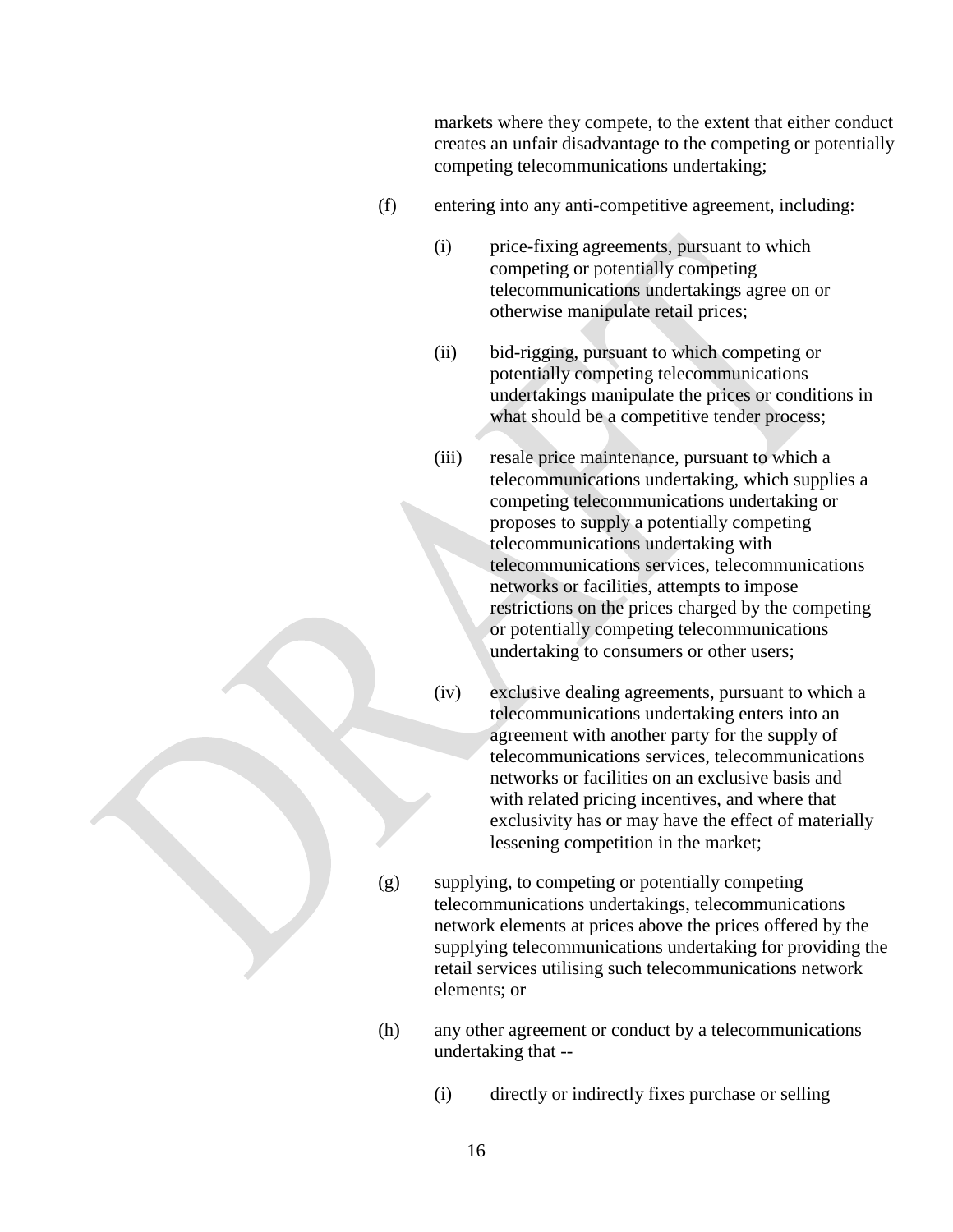markets where they compete, to the extent that either conduct creates an unfair disadvantage to the competing or potentially competing telecommunications undertaking;

- (f) entering into any anti-competitive agreement, including:
	- (i) price-fixing agreements, pursuant to which competing or potentially competing telecommunications undertakings agree on or otherwise manipulate retail prices;
	- (ii) bid-rigging, pursuant to which competing or potentially competing telecommunications undertakings manipulate the prices or conditions in what should be a competitive tender process;
	- (iii) resale price maintenance, pursuant to which a telecommunications undertaking, which supplies a competing telecommunications undertaking or proposes to supply a potentially competing telecommunications undertaking with telecommunications services, telecommunications networks or facilities, attempts to impose restrictions on the prices charged by the competing or potentially competing telecommunications undertaking to consumers or other users;
	- (iv) exclusive dealing agreements, pursuant to which a telecommunications undertaking enters into an agreement with another party for the supply of telecommunications services, telecommunications networks or facilities on an exclusive basis and with related pricing incentives, and where that exclusivity has or may have the effect of materially lessening competition in the market;
- (g) supplying, to competing or potentially competing telecommunications undertakings, telecommunications network elements at prices above the prices offered by the supplying telecommunications undertaking for providing the retail services utilising such telecommunications network elements; or
- (h) any other agreement or conduct by a telecommunications undertaking that --
	- (i) directly or indirectly fixes purchase or selling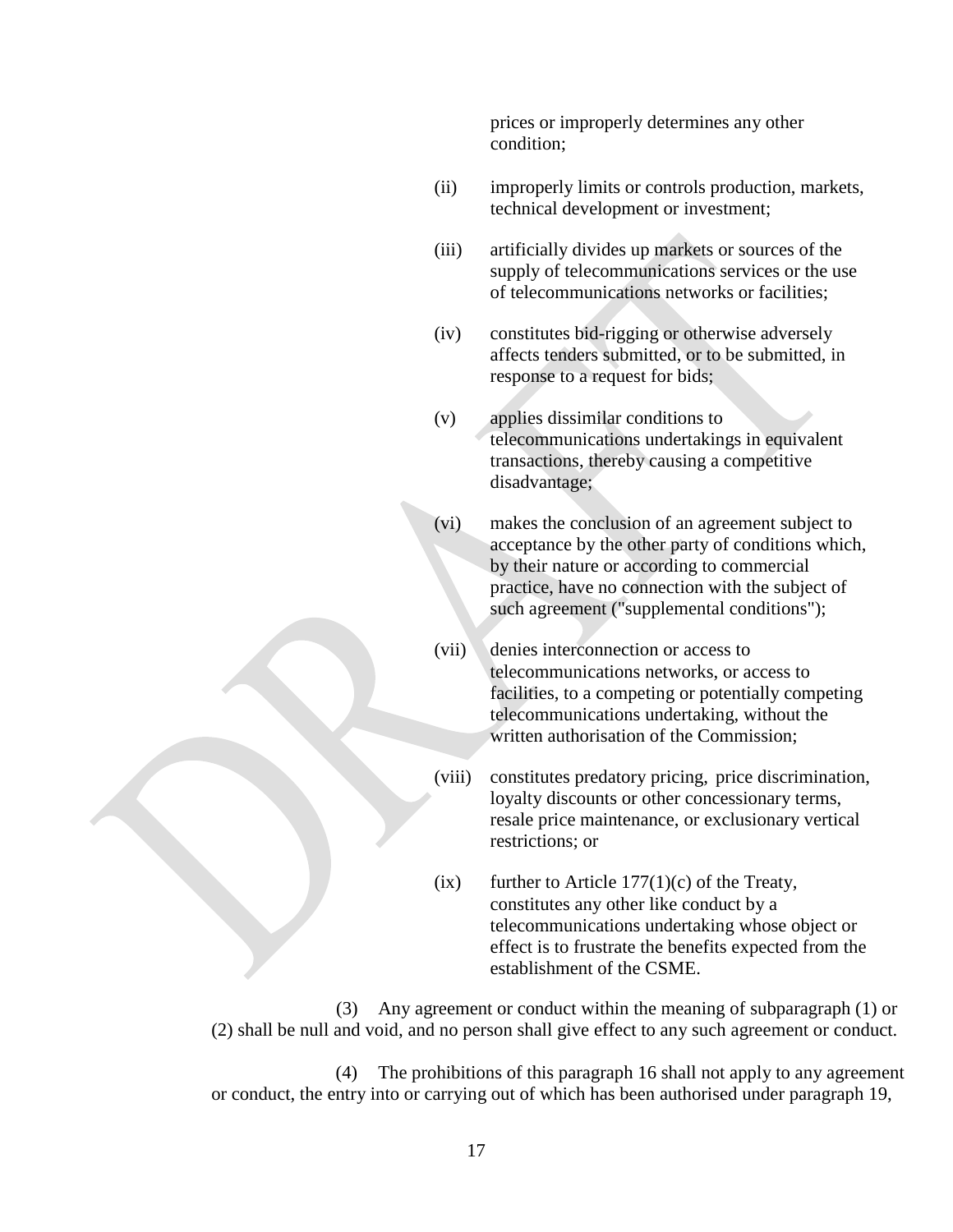prices or improperly determines any other condition;

- (ii) improperly limits or controls production, markets, technical development or investment;
- (iii) artificially divides up markets or sources of the supply of telecommunications services or the use of telecommunications networks or facilities;
- (iv) constitutes bid-rigging or otherwise adversely affects tenders submitted, or to be submitted, in response to a request for bids;
- (v) applies dissimilar conditions to telecommunications undertakings in equivalent transactions, thereby causing a competitive disadvantage;
- (vi) makes the conclusion of an agreement subject to acceptance by the other party of conditions which, by their nature or according to commercial practice, have no connection with the subject of such agreement ("supplemental conditions");
- (vii) denies interconnection or access to telecommunications networks, or access to facilities, to a competing or potentially competing telecommunications undertaking, without the written authorisation of the Commission;
- (viii) constitutes predatory pricing, price discrimination, loyalty discounts or other concessionary terms, resale price maintenance, or exclusionary vertical restrictions; or
- $(ix)$  further to Article 177(1)(c) of the Treaty, constitutes any other like conduct by a telecommunications undertaking whose object or effect is to frustrate the benefits expected from the establishment of the CSME.

(3) Any agreement or conduct within the meaning of subparagraph (1) or (2) shall be null and void, and no person shall give effect to any such agreement or conduct.

(4) The prohibitions of this paragraph 16 shall not apply to any agreement or conduct, the entry into or carrying out of which has been authorised under paragraph 19,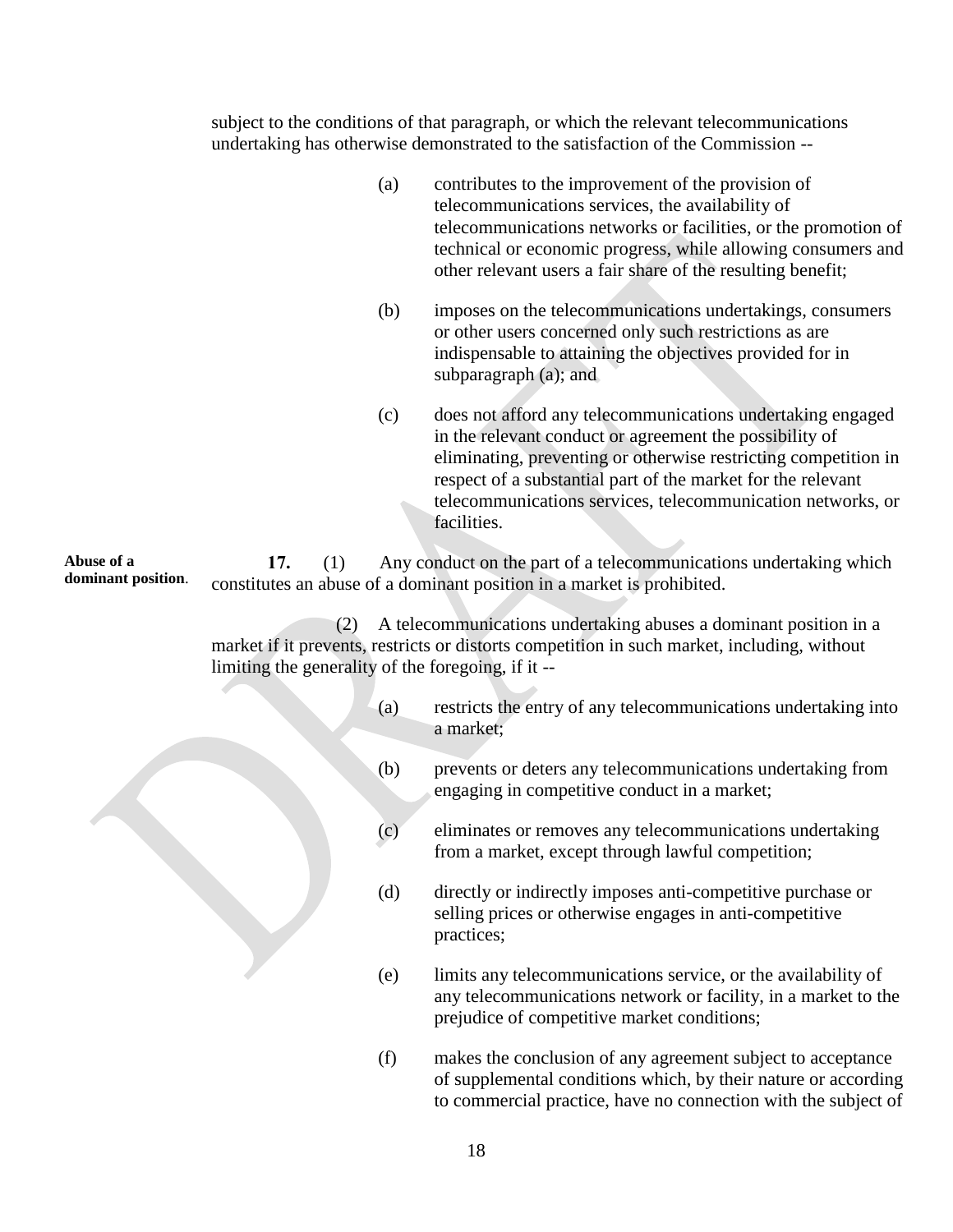subject to the conditions of that paragraph, or which the relevant telecommunications undertaking has otherwise demonstrated to the satisfaction of the Commission --

- (a) contributes to the improvement of the provision of telecommunications services, the availability of telecommunications networks or facilities, or the promotion of technical or economic progress, while allowing consumers and other relevant users a fair share of the resulting benefit;
- (b) imposes on the telecommunications undertakings, consumers or other users concerned only such restrictions as are indispensable to attaining the objectives provided for in subparagraph (a); and
- (c) does not afford any telecommunications undertaking engaged in the relevant conduct or agreement the possibility of eliminating, preventing or otherwise restricting competition in respect of a substantial part of the market for the relevant telecommunications services, telecommunication networks, or facilities.

**Abuse of a dominant position**. **17.** (1) Any conduct on the part of a telecommunications undertaking which constitutes an abuse of a dominant position in a market is prohibited.

> (2) A telecommunications undertaking abuses a dominant position in a market if it prevents, restricts or distorts competition in such market, including, without limiting the generality of the foregoing, if it --

- (a) restricts the entry of any telecommunications undertaking into a market;
- (b) prevents or deters any telecommunications undertaking from engaging in competitive conduct in a market;
- (c) eliminates or removes any telecommunications undertaking from a market, except through lawful competition;
- (d) directly or indirectly imposes anti-competitive purchase or selling prices or otherwise engages in anti-competitive practices;
- (e) limits any telecommunications service, or the availability of any telecommunications network or facility, in a market to the prejudice of competitive market conditions;
- (f) makes the conclusion of any agreement subject to acceptance of supplemental conditions which, by their nature or according to commercial practice, have no connection with the subject of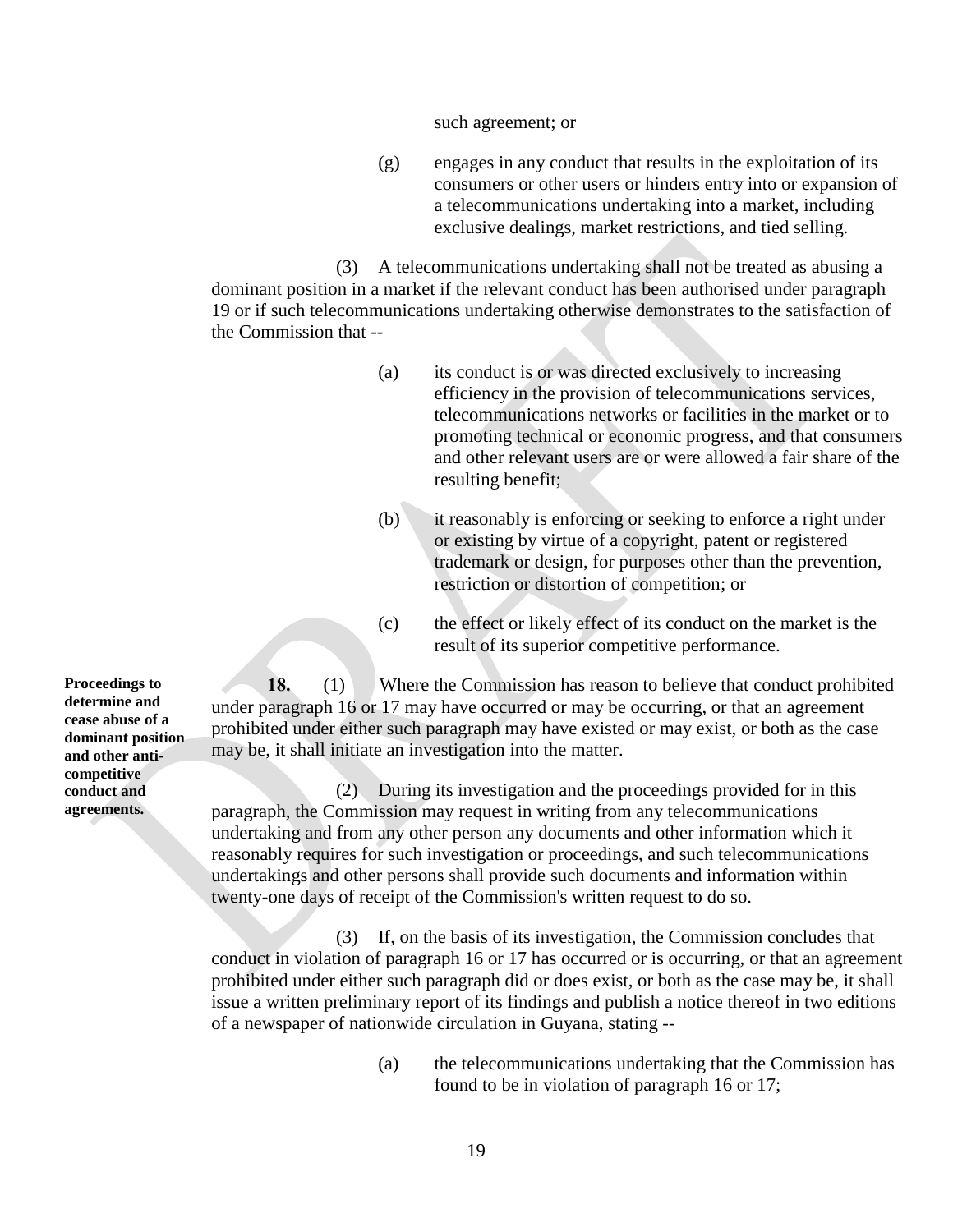such agreement; or

(g) engages in any conduct that results in the exploitation of its consumers or other users or hinders entry into or expansion of a telecommunications undertaking into a market, including exclusive dealings, market restrictions, and tied selling.

(3) A telecommunications undertaking shall not be treated as abusing a dominant position in a market if the relevant conduct has been authorised under paragraph 19 or if such telecommunications undertaking otherwise demonstrates to the satisfaction of the Commission that --

- (a) its conduct is or was directed exclusively to increasing efficiency in the provision of telecommunications services, telecommunications networks or facilities in the market or to promoting technical or economic progress, and that consumers and other relevant users are or were allowed a fair share of the resulting benefit;
- (b) it reasonably is enforcing or seeking to enforce a right under or existing by virtue of a copyright, patent or registered trademark or design, for purposes other than the prevention, restriction or distortion of competition; or
- (c) the effect or likely effect of its conduct on the market is the result of its superior competitive performance.

**18.** (1) Where the Commission has reason to believe that conduct prohibited under paragraph 16 or 17 may have occurred or may be occurring, or that an agreement prohibited under either such paragraph may have existed or may exist, or both as the case may be, it shall initiate an investigation into the matter.

(2) During its investigation and the proceedings provided for in this paragraph, the Commission may request in writing from any telecommunications undertaking and from any other person any documents and other information which it reasonably requires for such investigation or proceedings, and such telecommunications undertakings and other persons shall provide such documents and information within twenty-one days of receipt of the Commission's written request to do so.

(3) If, on the basis of its investigation, the Commission concludes that conduct in violation of paragraph 16 or 17 has occurred or is occurring, or that an agreement prohibited under either such paragraph did or does exist, or both as the case may be, it shall issue a written preliminary report of its findings and publish a notice thereof in two editions of a newspaper of nationwide circulation in Guyana, stating --

> (a) the telecommunications undertaking that the Commission has found to be in violation of paragraph 16 or 17;

**Proceedings to determine and cease abuse of a dominant position and other anticompetitive conduct and agreements.**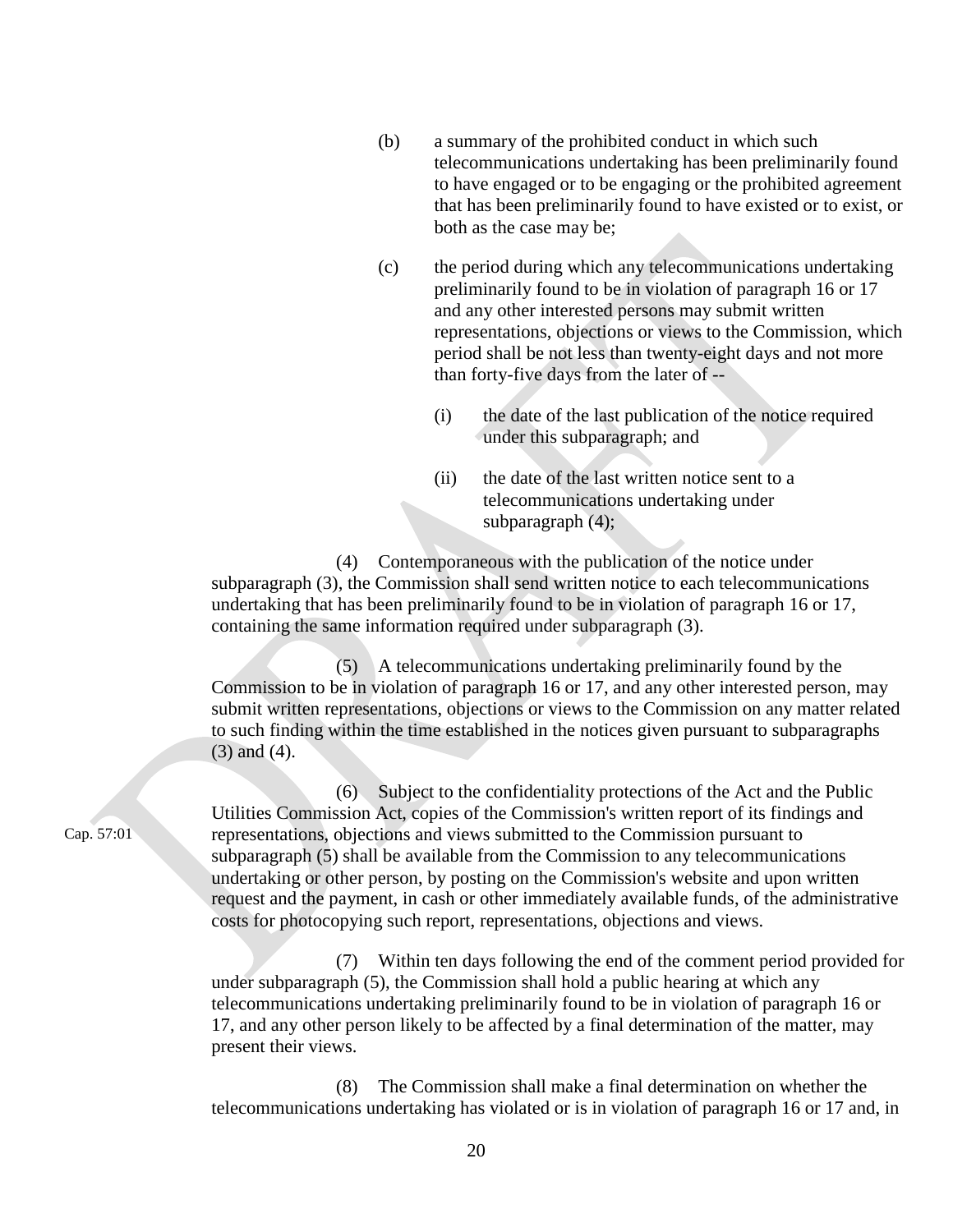- (b) a summary of the prohibited conduct in which such telecommunications undertaking has been preliminarily found to have engaged or to be engaging or the prohibited agreement that has been preliminarily found to have existed or to exist, or both as the case may be;
- (c) the period during which any telecommunications undertaking preliminarily found to be in violation of paragraph 16 or 17 and any other interested persons may submit written representations, objections or views to the Commission, which period shall be not less than twenty-eight days and not more than forty-five days from the later of --
	- (i) the date of the last publication of the notice required under this subparagraph; and
	- (ii) the date of the last written notice sent to a telecommunications undertaking under subparagraph (4);

(4) Contemporaneous with the publication of the notice under subparagraph (3), the Commission shall send written notice to each telecommunications undertaking that has been preliminarily found to be in violation of paragraph 16 or 17, containing the same information required under subparagraph (3).

(5) A telecommunications undertaking preliminarily found by the Commission to be in violation of paragraph 16 or 17, and any other interested person, may submit written representations, objections or views to the Commission on any matter related to such finding within the time established in the notices given pursuant to subparagraphs (3) and (4).

(6) Subject to the confidentiality protections of the Act and the Public Utilities Commission Act, copies of the Commission's written report of its findings and representations, objections and views submitted to the Commission pursuant to subparagraph (5) shall be available from the Commission to any telecommunications undertaking or other person, by posting on the Commission's website and upon written request and the payment, in cash or other immediately available funds, of the administrative costs for photocopying such report, representations, objections and views.

(7) Within ten days following the end of the comment period provided for under subparagraph (5), the Commission shall hold a public hearing at which any telecommunications undertaking preliminarily found to be in violation of paragraph 16 or 17, and any other person likely to be affected by a final determination of the matter, may present their views.

(8) The Commission shall make a final determination on whether the telecommunications undertaking has violated or is in violation of paragraph 16 or 17 and, in

Cap. 57:01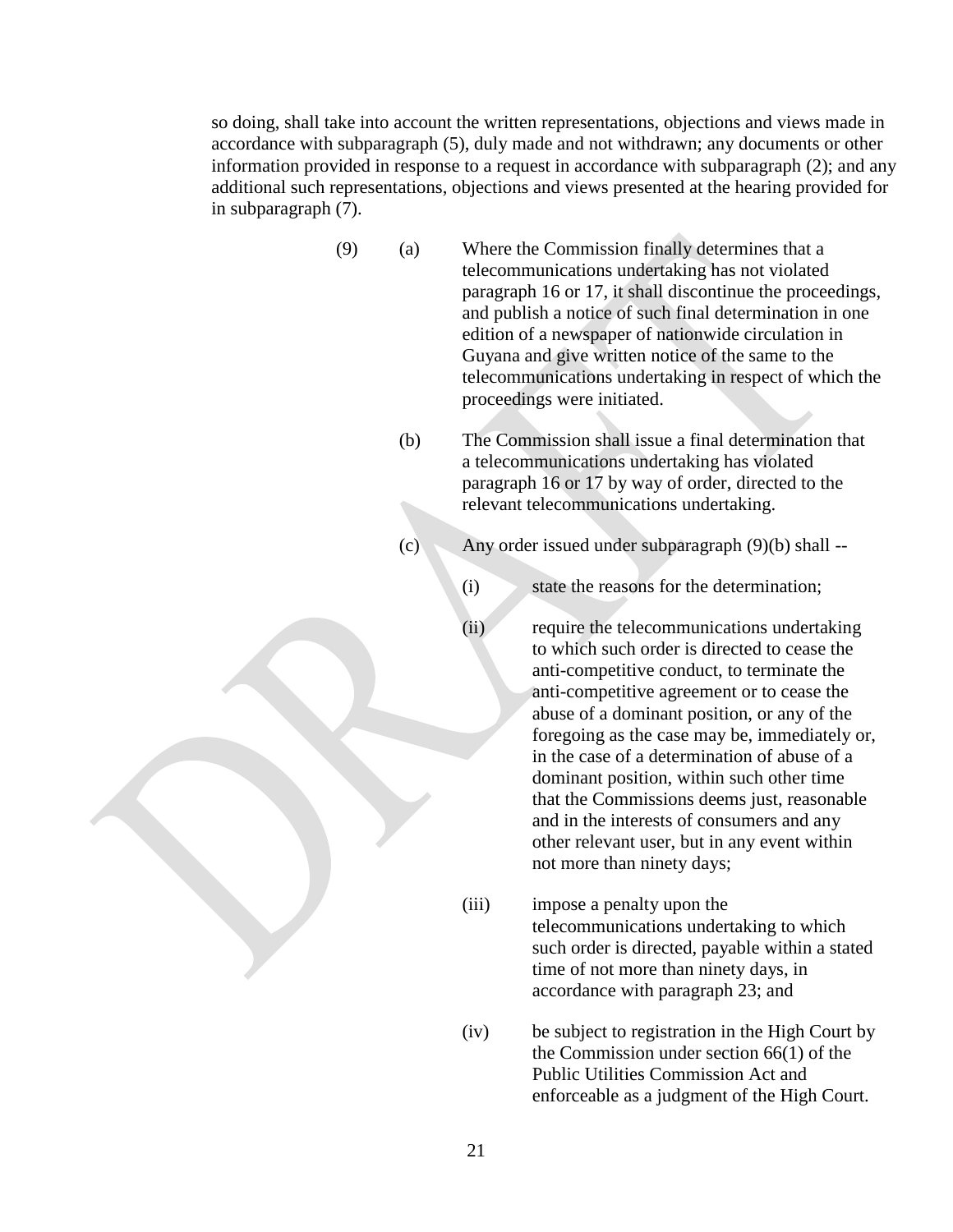so doing, shall take into account the written representations, objections and views made in accordance with subparagraph (5), duly made and not withdrawn; any documents or other information provided in response to a request in accordance with subparagraph (2); and any additional such representations, objections and views presented at the hearing provided for in subparagraph (7).

- (9) (a) Where the Commission finally determines that a telecommunications undertaking has not violated paragraph 16 or 17, it shall discontinue the proceedings, and publish a notice of such final determination in one edition of a newspaper of nationwide circulation in Guyana and give written notice of the same to the telecommunications undertaking in respect of which the proceedings were initiated.
	- (b) The Commission shall issue a final determination that a telecommunications undertaking has violated paragraph 16 or 17 by way of order, directed to the relevant telecommunications undertaking.
	- (c) Any order issued under subparagraph (9)(b) shall --

(i) state the reasons for the determination;

- (ii) require the telecommunications undertaking to which such order is directed to cease the anti-competitive conduct, to terminate the anti-competitive agreement or to cease the abuse of a dominant position, or any of the foregoing as the case may be, immediately or, in the case of a determination of abuse of a dominant position, within such other time that the Commissions deems just, reasonable and in the interests of consumers and any other relevant user, but in any event within not more than ninety days;
- (iii) impose a penalty upon the telecommunications undertaking to which such order is directed, payable within a stated time of not more than ninety days, in accordance with paragraph 23; and
- (iv) be subject to registration in the High Court by the Commission under section 66(1) of the Public Utilities Commission Act and enforceable as a judgment of the High Court.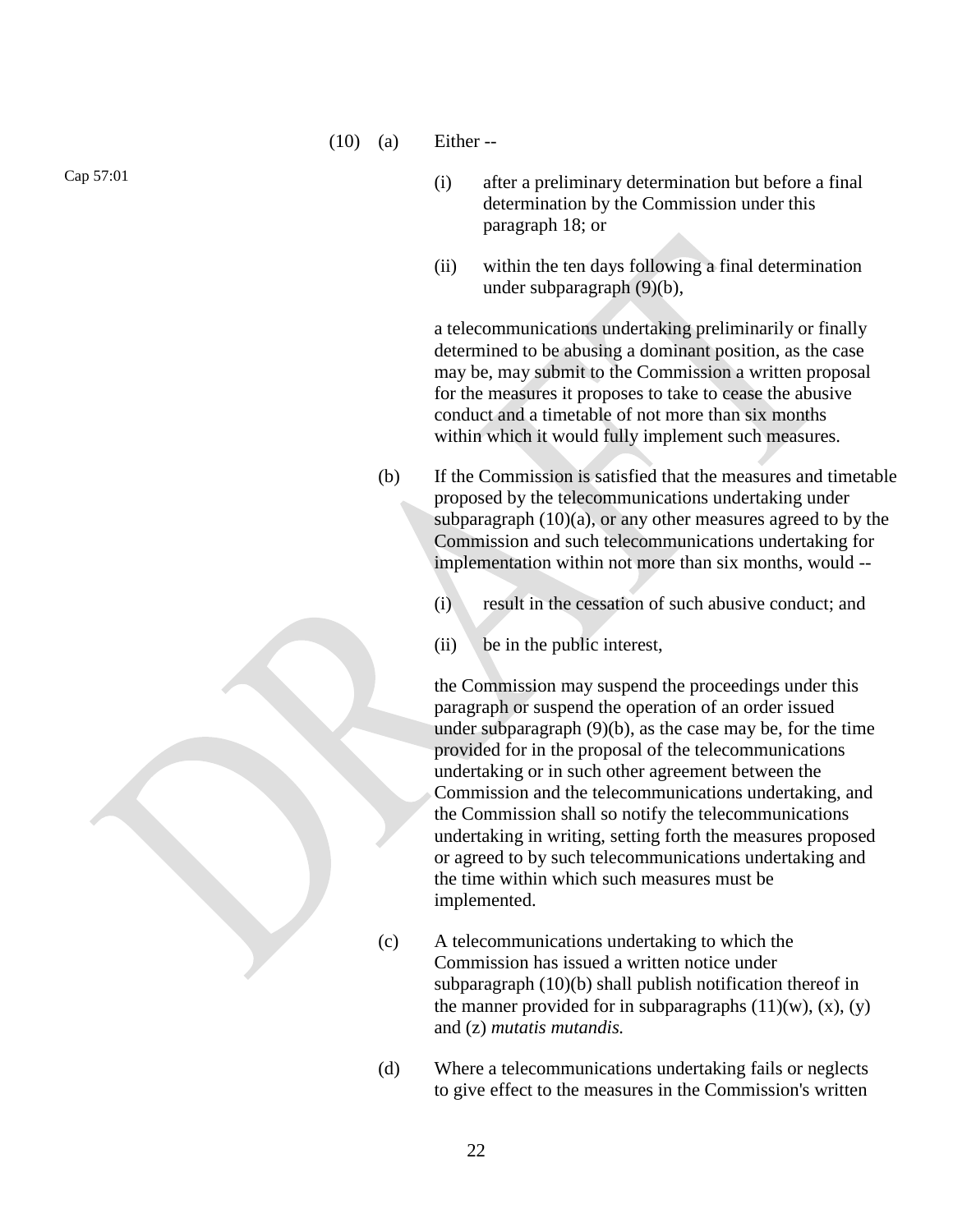(10) (a) Either --

(i) after a preliminary determination but before a final determination by the Commission under this paragraph 18; or

(ii) within the ten days following a final determination under subparagraph (9)(b),

a telecommunications undertaking preliminarily or finally determined to be abusing a dominant position, as the case may be, may submit to the Commission a written proposal for the measures it proposes to take to cease the abusive conduct and a timetable of not more than six months within which it would fully implement such measures.

- (b) If the Commission is satisfied that the measures and timetable proposed by the telecommunications undertaking under subparagraph  $(10)(a)$ , or any other measures agreed to by the Commission and such telecommunications undertaking for implementation within not more than six months, would --
	- (i) result in the cessation of such abusive conduct; and
	- (ii) be in the public interest,

the Commission may suspend the proceedings under this paragraph or suspend the operation of an order issued under subparagraph (9)(b), as the case may be, for the time provided for in the proposal of the telecommunications undertaking or in such other agreement between the Commission and the telecommunications undertaking, and the Commission shall so notify the telecommunications undertaking in writing, setting forth the measures proposed or agreed to by such telecommunications undertaking and the time within which such measures must be implemented.

- (c) A telecommunications undertaking to which the Commission has issued a written notice under subparagraph (10)(b) shall publish notification thereof in the manner provided for in subparagraphs  $(11)(w)$ ,  $(x)$ ,  $(y)$ and (z) *mutatis mutandis.*
- (d) Where a telecommunications undertaking fails or neglects to give effect to the measures in the Commission's written

Cap 57:01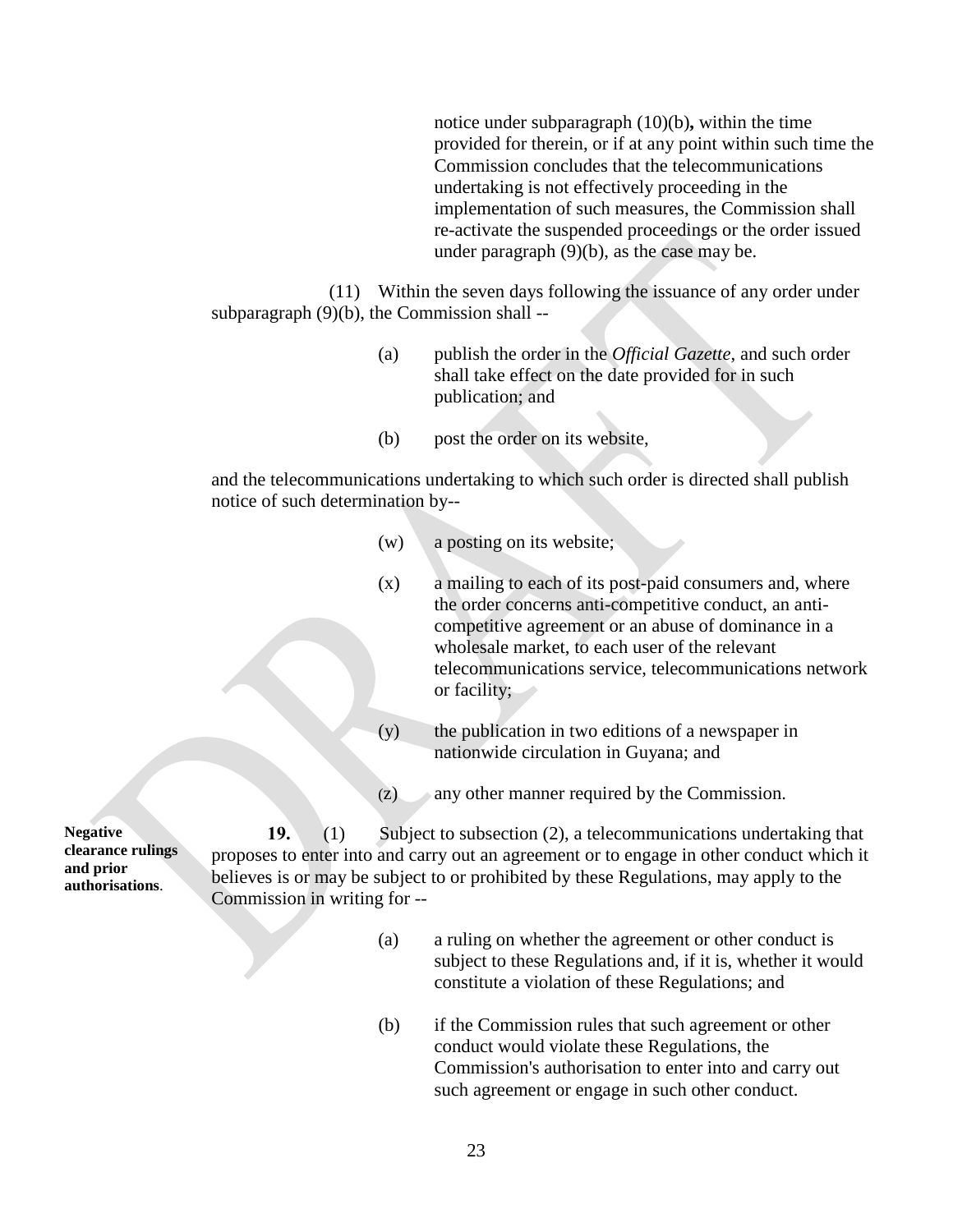notice under subparagraph (10)(b)**,** within the time provided for therein, or if at any point within such time the Commission concludes that the telecommunications undertaking is not effectively proceeding in the implementation of such measures, the Commission shall re-activate the suspended proceedings or the order issued under paragraph (9)(b), as the case may be.

(11) Within the seven days following the issuance of any order under subparagraph (9)(b), the Commission shall --

- (a) publish the order in the *Official Gazette*, and such order shall take effect on the date provided for in such publication; and
- (b) post the order on its website,

and the telecommunications undertaking to which such order is directed shall publish notice of such determination by--

- (w) a posting on its website;
- (x) a mailing to each of its post-paid consumers and, where the order concerns anti-competitive conduct, an anticompetitive agreement or an abuse of dominance in a wholesale market, to each user of the relevant telecommunications service, telecommunications network or facility;
- (y) the publication in two editions of a newspaper in nationwide circulation in Guyana; and
- (z) any other manner required by the Commission.

**Negative clearance rulings and prior authorisations**.

**19.** (1) Subject to subsection (2), a telecommunications undertaking that proposes to enter into and carry out an agreement or to engage in other conduct which it believes is or may be subject to or prohibited by these Regulations, may apply to the Commission in writing for --

- (a) a ruling on whether the agreement or other conduct is subject to these Regulations and, if it is, whether it would constitute a violation of these Regulations; and
- (b) if the Commission rules that such agreement or other conduct would violate these Regulations, the Commission's authorisation to enter into and carry out such agreement or engage in such other conduct.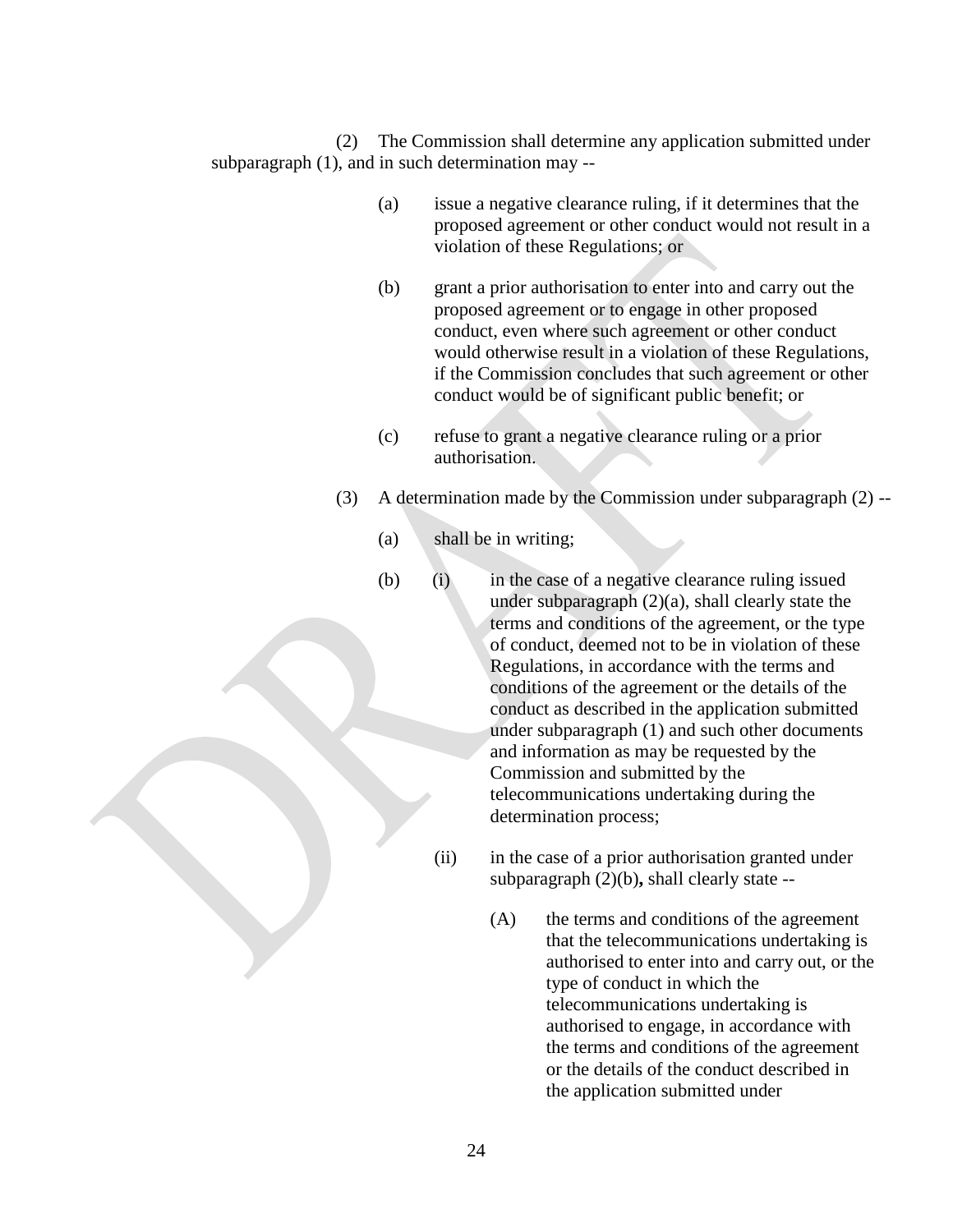(2) The Commission shall determine any application submitted under subparagraph (1), and in such determination may --

- (a) issue a negative clearance ruling, if it determines that the proposed agreement or other conduct would not result in a violation of these Regulations; or
- (b) grant a prior authorisation to enter into and carry out the proposed agreement or to engage in other proposed conduct, even where such agreement or other conduct would otherwise result in a violation of these Regulations, if the Commission concludes that such agreement or other conduct would be of significant public benefit; or
- (c) refuse to grant a negative clearance ruling or a prior authorisation.
- (3) A determination made by the Commission under subparagraph (2) --
	- (a) shall be in writing;
	- (b) (i) in the case of a negative clearance ruling issued under subparagraph  $(2)(a)$ , shall clearly state the terms and conditions of the agreement, or the type of conduct, deemed not to be in violation of these Regulations, in accordance with the terms and conditions of the agreement or the details of the conduct as described in the application submitted under subparagraph (1) and such other documents and information as may be requested by the Commission and submitted by the telecommunications undertaking during the determination process;
		- (ii) in the case of a prior authorisation granted under subparagraph (2)(b)**,** shall clearly state --
			- (A) the terms and conditions of the agreement that the telecommunications undertaking is authorised to enter into and carry out, or the type of conduct in which the telecommunications undertaking is authorised to engage, in accordance with the terms and conditions of the agreement or the details of the conduct described in the application submitted under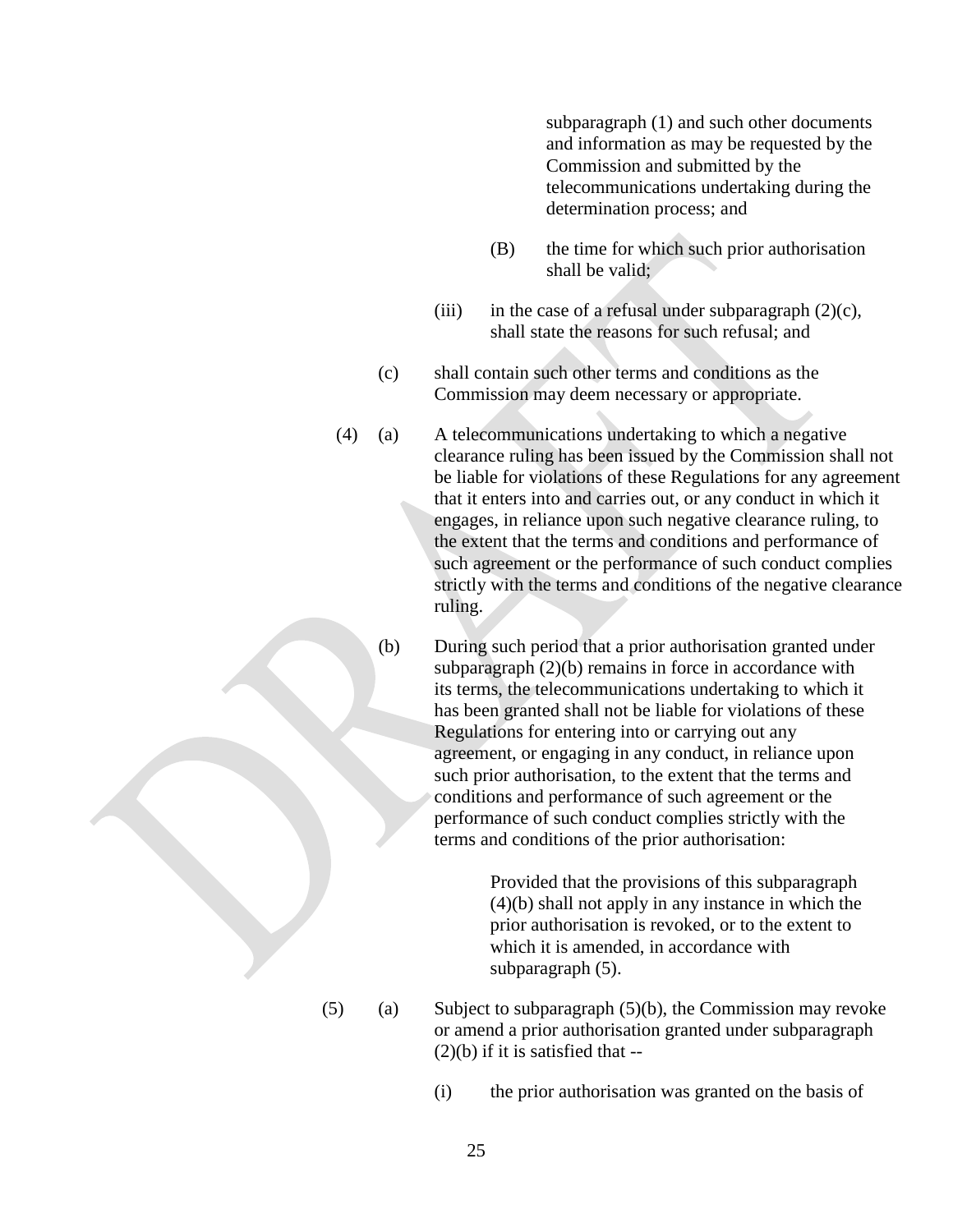subparagraph (1) and such other documents and information as may be requested by the Commission and submitted by the telecommunications undertaking during the determination process; and

- (B) the time for which such prior authorisation shall be valid;
- (iii) in the case of a refusal under subparagraph  $(2)(c)$ , shall state the reasons for such refusal; and
- (c) shall contain such other terms and conditions as the Commission may deem necessary or appropriate.
- (4) (a) A telecommunications undertaking to which a negative clearance ruling has been issued by the Commission shall not be liable for violations of these Regulations for any agreement that it enters into and carries out, or any conduct in which it engages, in reliance upon such negative clearance ruling, to the extent that the terms and conditions and performance of such agreement or the performance of such conduct complies strictly with the terms and conditions of the negative clearance ruling.
	- (b) During such period that a prior authorisation granted under subparagraph (2)(b) remains in force in accordance with its terms, the telecommunications undertaking to which it has been granted shall not be liable for violations of these Regulations for entering into or carrying out any agreement, or engaging in any conduct, in reliance upon such prior authorisation, to the extent that the terms and conditions and performance of such agreement or the performance of such conduct complies strictly with the terms and conditions of the prior authorisation:

Provided that the provisions of this subparagraph (4)(b) shall not apply in any instance in which the prior authorisation is revoked, or to the extent to which it is amended, in accordance with subparagraph (5).

- $(5)$  (a) Subject to subparagraph  $(5)(b)$ , the Commission may revoke or amend a prior authorisation granted under subparagraph  $(2)(b)$  if it is satisfied that --
	- (i) the prior authorisation was granted on the basis of
		- 25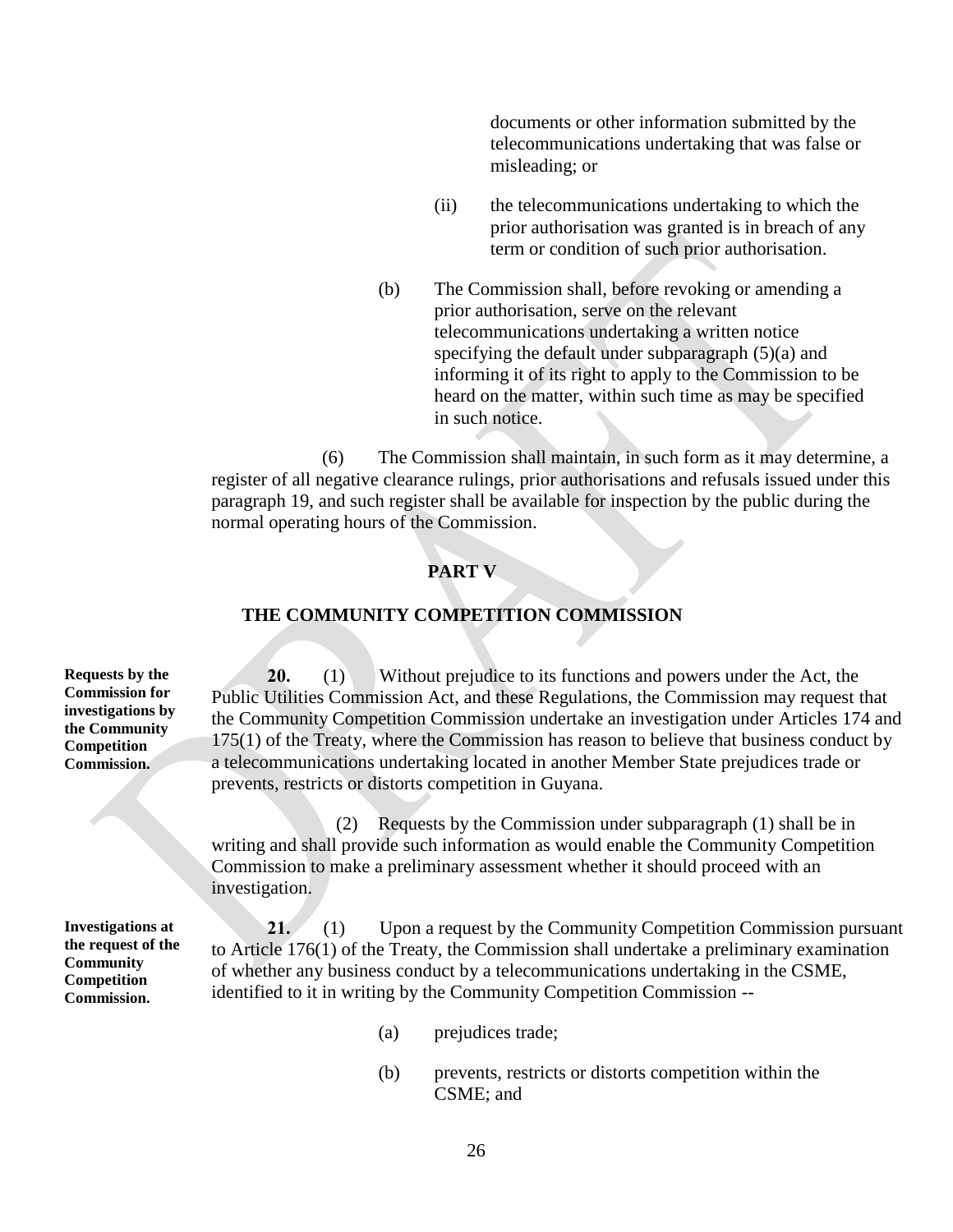documents or other information submitted by the telecommunications undertaking that was false or misleading; or

- (ii) the telecommunications undertaking to which the prior authorisation was granted is in breach of any term or condition of such prior authorisation.
- (b) The Commission shall, before revoking or amending a prior authorisation, serve on the relevant telecommunications undertaking a written notice specifying the default under subparagraph (5)(a) and informing it of its right to apply to the Commission to be heard on the matter, within such time as may be specified in such notice.

(6) The Commission shall maintain, in such form as it may determine, a register of all negative clearance rulings, prior authorisations and refusals issued under this paragraph 19, and such register shall be available for inspection by the public during the normal operating hours of the Commission.

### **PART V**

#### **THE COMMUNITY COMPETITION COMMISSION**

**Requests by the Commission for investigations by the Community Competition Commission.**

**20.** (1) Without prejudice to its functions and powers under the Act, the Public Utilities Commission Act, and these Regulations, the Commission may request that the Community Competition Commission undertake an investigation under Articles 174 and 175(1) of the Treaty, where the Commission has reason to believe that business conduct by a telecommunications undertaking located in another Member State prejudices trade or prevents, restricts or distorts competition in Guyana.

(2) Requests by the Commission under subparagraph (1) shall be in writing and shall provide such information as would enable the Community Competition Commission to make a preliminary assessment whether it should proceed with an investigation.

**Investigations at the request of the Community Competition Commission.**

**21.** (1) Upon a request by the Community Competition Commission pursuant to Article 176(1) of the Treaty, the Commission shall undertake a preliminary examination of whether any business conduct by a telecommunications undertaking in the CSME, identified to it in writing by the Community Competition Commission --

- (a) prejudices trade;
- (b) prevents, restricts or distorts competition within the CSME; and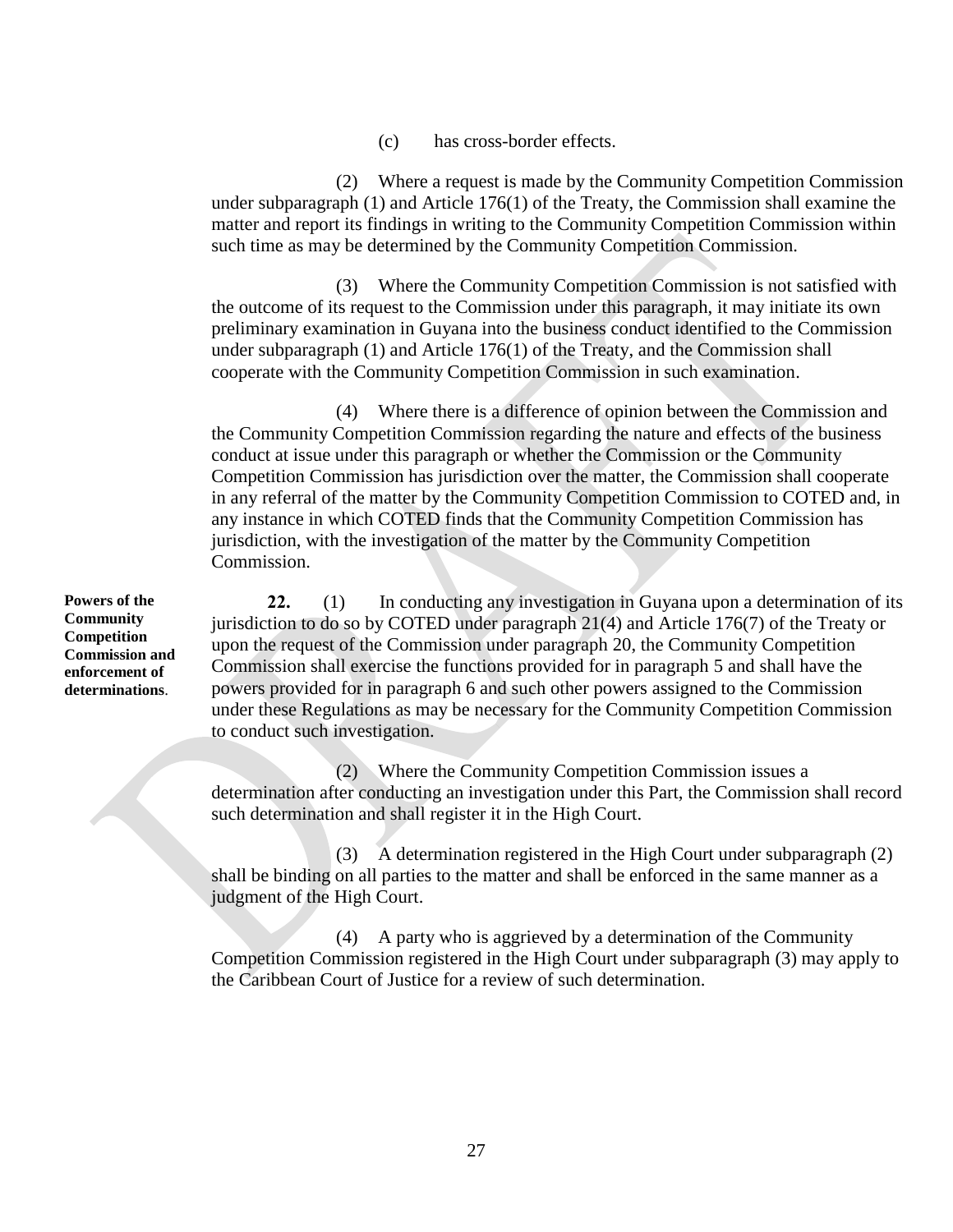(c) has cross-border effects.

(2) Where a request is made by the Community Competition Commission under subparagraph (1) and Article 176(1) of the Treaty, the Commission shall examine the matter and report its findings in writing to the Community Competition Commission within such time as may be determined by the Community Competition Commission.

(3) Where the Community Competition Commission is not satisfied with the outcome of its request to the Commission under this paragraph, it may initiate its own preliminary examination in Guyana into the business conduct identified to the Commission under subparagraph (1) and Article 176(1) of the Treaty, and the Commission shall cooperate with the Community Competition Commission in such examination.

(4) Where there is a difference of opinion between the Commission and the Community Competition Commission regarding the nature and effects of the business conduct at issue under this paragraph or whether the Commission or the Community Competition Commission has jurisdiction over the matter, the Commission shall cooperate in any referral of the matter by the Community Competition Commission to COTED and, in any instance in which COTED finds that the Community Competition Commission has jurisdiction, with the investigation of the matter by the Community Competition Commission.

**22.** (1) In conducting any investigation in Guyana upon a determination of its jurisdiction to do so by COTED under paragraph 21(4) and Article 176(7) of the Treaty or upon the request of the Commission under paragraph 20, the Community Competition Commission shall exercise the functions provided for in paragraph 5 and shall have the powers provided for in paragraph 6 and such other powers assigned to the Commission under these Regulations as may be necessary for the Community Competition Commission to conduct such investigation.

(2) Where the Community Competition Commission issues a determination after conducting an investigation under this Part, the Commission shall record such determination and shall register it in the High Court.

(3) A determination registered in the High Court under subparagraph (2) shall be binding on all parties to the matter and shall be enforced in the same manner as a judgment of the High Court.

(4) A party who is aggrieved by a determination of the Community Competition Commission registered in the High Court under subparagraph (3) may apply to the Caribbean Court of Justice for a review of such determination.

**Powers of the Community Competition Commission and enforcement of determinations**.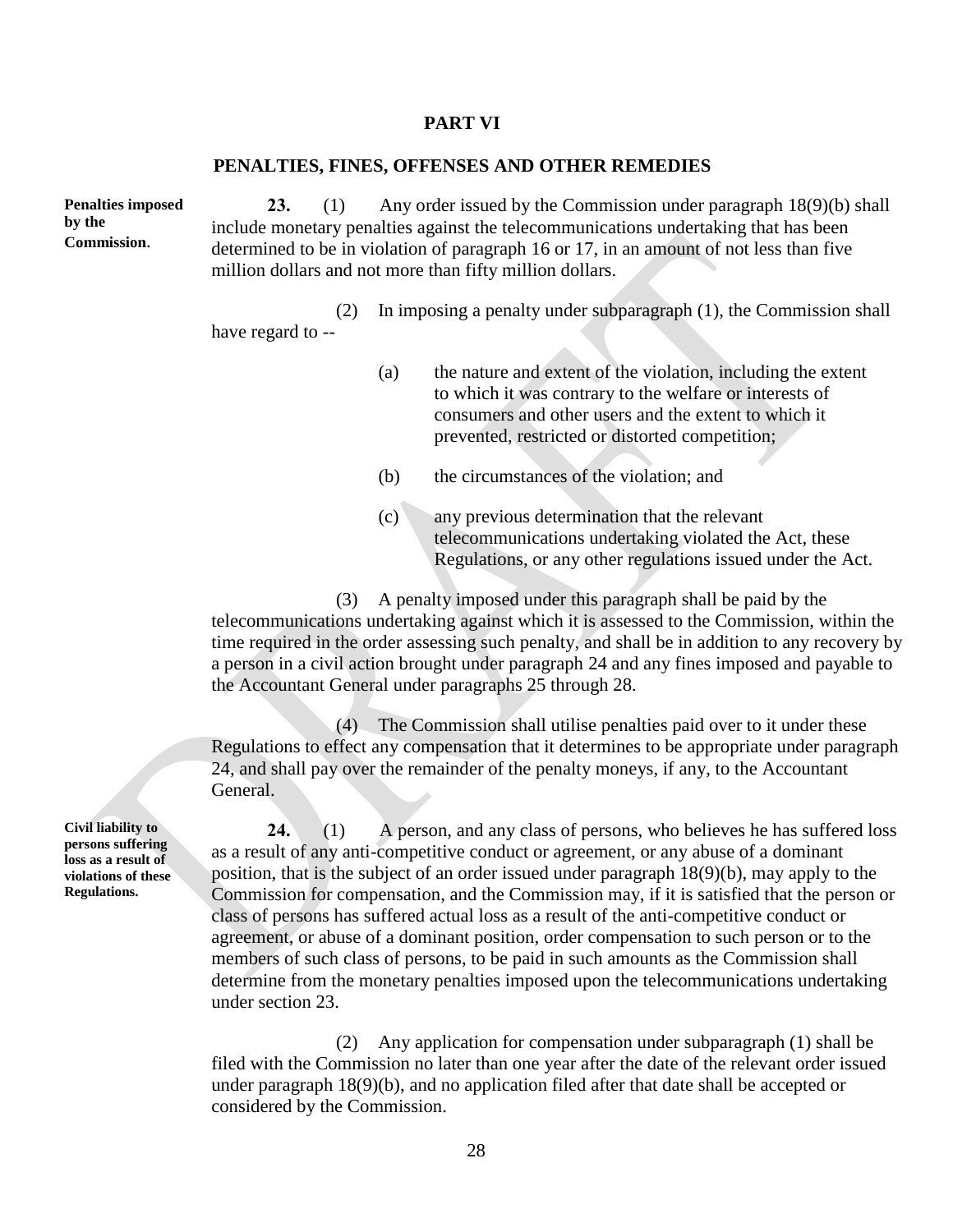#### **PART VI**

#### **PENALTIES, FINES, OFFENSES AND OTHER REMEDIES**

**Penalties imposed by the Commission**.

**23.** (1) Any order issued by the Commission under paragraph 18(9)(b) shall include monetary penalties against the telecommunications undertaking that has been determined to be in violation of paragraph 16 or 17, in an amount of not less than five million dollars and not more than fifty million dollars.

(2) In imposing a penalty under subparagraph (1), the Commission shall have regard to --

- (a) the nature and extent of the violation, including the extent to which it was contrary to the welfare or interests of consumers and other users and the extent to which it prevented, restricted or distorted competition;
- (b) the circumstances of the violation; and
- (c) any previous determination that the relevant telecommunications undertaking violated the Act, these Regulations, or any other regulations issued under the Act.

(3) A penalty imposed under this paragraph shall be paid by the telecommunications undertaking against which it is assessed to the Commission, within the time required in the order assessing such penalty, and shall be in addition to any recovery by a person in a civil action brought under paragraph 24 and any fines imposed and payable to the Accountant General under paragraphs 25 through 28.

(4) The Commission shall utilise penalties paid over to it under these Regulations to effect any compensation that it determines to be appropriate under paragraph 24, and shall pay over the remainder of the penalty moneys, if any, to the Accountant General.

**24.** (1) A person, and any class of persons, who believes he has suffered loss as a result of any anti-competitive conduct or agreement, or any abuse of a dominant position, that is the subject of an order issued under paragraph 18(9)(b), may apply to the Commission for compensation, and the Commission may, if it is satisfied that the person or class of persons has suffered actual loss as a result of the anti-competitive conduct or agreement, or abuse of a dominant position, order compensation to such person or to the members of such class of persons, to be paid in such amounts as the Commission shall determine from the monetary penalties imposed upon the telecommunications undertaking under section 23.

(2) Any application for compensation under subparagraph (1) shall be filed with the Commission no later than one year after the date of the relevant order issued under paragraph 18(9)(b), and no application filed after that date shall be accepted or considered by the Commission.

**Civil liability to persons suffering loss as a result of violations of these Regulations.**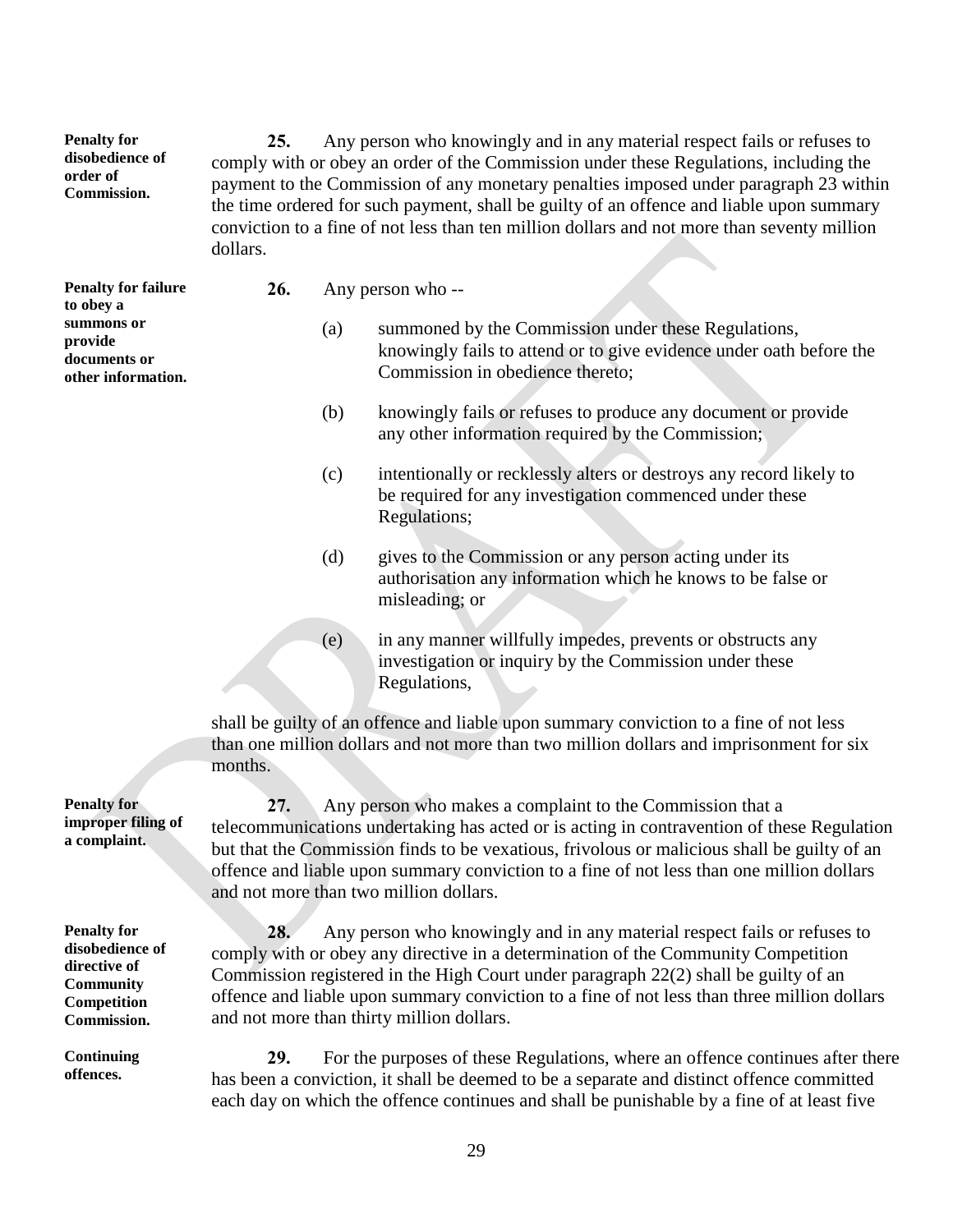**disobedience of 25.** Any person who knowingly and in any material respect fails or refuses to comply with or obey an order of the Commission under these Regulations, including the payment to the Commission of any monetary penalties imposed under paragraph 23 within the time ordered for such payment, shall be guilty of an offence and liable upon summary conviction to a fine of not less than ten million dollars and not more than seventy million dollars.

**Penalty for failure to obey a summons or provide documents or other information.**

**Penalty for** 

**order of Commission.**

- **26.** Any person who --
	- (a) summoned by the Commission under these Regulations, knowingly fails to attend or to give evidence under oath before the Commission in obedience thereto;
	- (b) knowingly fails or refuses to produce any document or provide any other information required by the Commission;
	- (c) intentionally or recklessly alters or destroys any record likely to be required for any investigation commenced under these Regulations;
	- (d) gives to the Commission or any person acting under its authorisation any information which he knows to be false or misleading; or
	- (e) in any manner willfully impedes, prevents or obstructs any investigation or inquiry by the Commission under these Regulations,

shall be guilty of an offence and liable upon summary conviction to a fine of not less than one million dollars and not more than two million dollars and imprisonment for six months.

**27.** Any person who makes a complaint to the Commission that a telecommunications undertaking has acted or is acting in contravention of these Regulation but that the Commission finds to be vexatious, frivolous or malicious shall be guilty of an offence and liable upon summary conviction to a fine of not less than one million dollars and not more than two million dollars.

**28.** Any person who knowingly and in any material respect fails or refuses to comply with or obey any directive in a determination of the Community Competition Commission registered in the High Court under paragraph 22(2) shall be guilty of an offence and liable upon summary conviction to a fine of not less than three million dollars and not more than thirty million dollars.

**29.** For the purposes of these Regulations, where an offence continues after there has been a conviction, it shall be deemed to be a separate and distinct offence committed each day on which the offence continues and shall be punishable by a fine of at least five

**Penalty for improper filing of a complaint.**

**Penalty for disobedience of directive of Community Competition Commission.**

**Continuing offences.**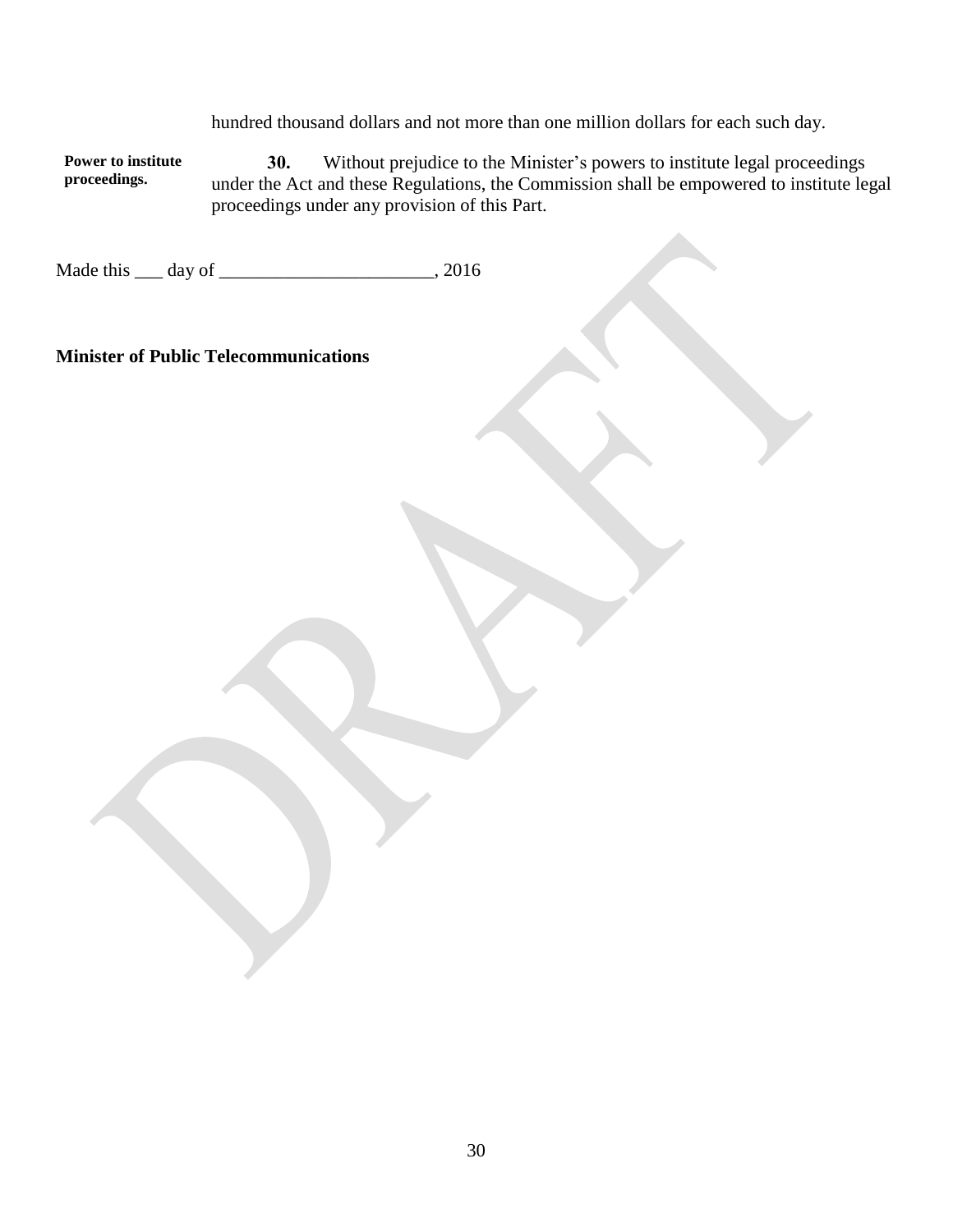hundred thousand dollars and not more than one million dollars for each such day.

**Power to institute proceedings. 30.** Without prejudice to the Minister's powers to institute legal proceedings under the Act and these Regulations, the Commission shall be empowered to institute legal proceedings under any provision of this Part.

Made this <u>quare day of  $\frac{1}{2}$ </u>, 2016

### **Minister of Public Telecommunications**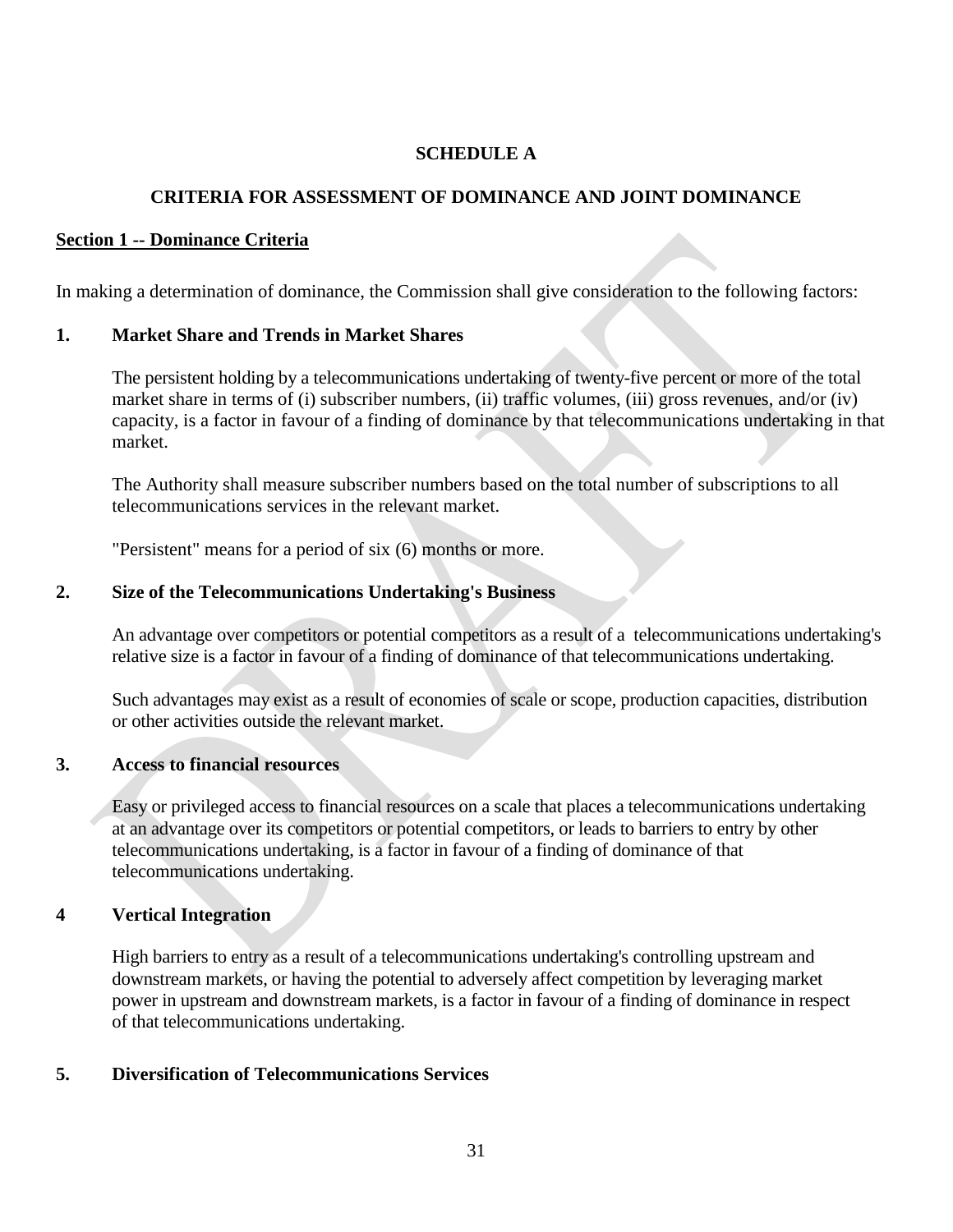## **SCHEDULE A**

### **CRITERIA FOR ASSESSMENT OF DOMINANCE AND JOINT DOMINANCE**

### **Section 1 -- Dominance Criteria**

In making a determination of dominance, the Commission shall give consideration to the following factors:

### **1. Market Share and Trends in Market Shares**

The persistent holding by a telecommunications undertaking of twenty-five percent or more of the total market share in terms of (i) subscriber numbers, (ii) traffic volumes, (iii) gross revenues, and/or (iv) capacity, is a factor in favour of a finding of dominance by that telecommunications undertaking in that market.

The Authority shall measure subscriber numbers based on the total number of subscriptions to all telecommunications services in the relevant market.

"Persistent" means for a period of six (6) months or more.

### **2. Size of the Telecommunications Undertaking's Business**

An advantage over competitors or potential competitors as a result of a telecommunications undertaking's relative size is a factor in favour of a finding of dominance of that telecommunications undertaking.

Such advantages may exist as a result of economies of scale or scope, production capacities, distribution or other activities outside the relevant market.

### **3. Access to financial resources**

Easy or privileged access to financial resources on a scale that places a telecommunications undertaking at an advantage over its competitors or potential competitors, or leads to barriers to entry by other telecommunications undertaking, is a factor in favour of a finding of dominance of that telecommunications undertaking.

### **4 Vertical Integration**

High barriers to entry as a result of a telecommunications undertaking's controlling upstream and downstream markets, or having the potential to adversely affect competition by leveraging market power in upstream and downstream markets, is a factor in favour of a finding of dominance in respect of that telecommunications undertaking.

### **5. Diversification of Telecommunications Services**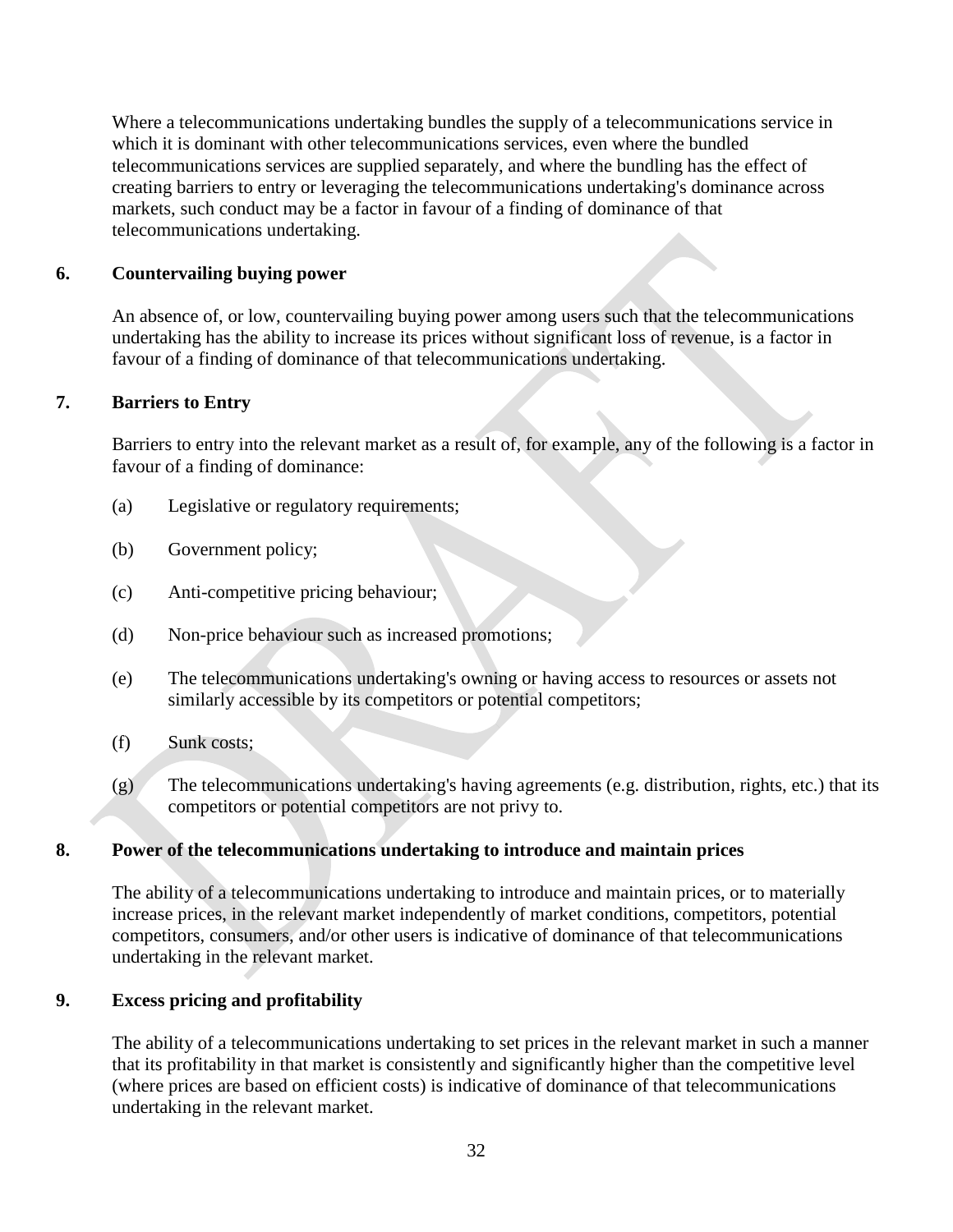Where a telecommunications undertaking bundles the supply of a telecommunications service in which it is dominant with other telecommunications services, even where the bundled telecommunications services are supplied separately, and where the bundling has the effect of creating barriers to entry or leveraging the telecommunications undertaking's dominance across markets, such conduct may be a factor in favour of a finding of dominance of that telecommunications undertaking.

### **6. Countervailing buying power**

An absence of, or low, countervailing buying power among users such that the telecommunications undertaking has the ability to increase its prices without significant loss of revenue, is a factor in favour of a finding of dominance of that telecommunications undertaking.

## **7. Barriers to Entry**

Barriers to entry into the relevant market as a result of, for example, any of the following is a factor in favour of a finding of dominance:

- (a) Legislative or regulatory requirements;
- (b) Government policy;
- (c) Anti-competitive pricing behaviour;
- (d) Non-price behaviour such as increased promotions;
- (e) The telecommunications undertaking's owning or having access to resources or assets not similarly accessible by its competitors or potential competitors;
- (f) Sunk costs;
- (g) The telecommunications undertaking's having agreements (e.g. distribution, rights, etc.) that its competitors or potential competitors are not privy to.

### **8. Power of the telecommunications undertaking to introduce and maintain prices**

The ability of a telecommunications undertaking to introduce and maintain prices, or to materially increase prices, in the relevant market independently of market conditions, competitors, potential competitors, consumers, and/or other users is indicative of dominance of that telecommunications undertaking in the relevant market.

### **9. Excess pricing and profitability**

The ability of a telecommunications undertaking to set prices in the relevant market in such a manner that its profitability in that market is consistently and significantly higher than the competitive level (where prices are based on efficient costs) is indicative of dominance of that telecommunications undertaking in the relevant market.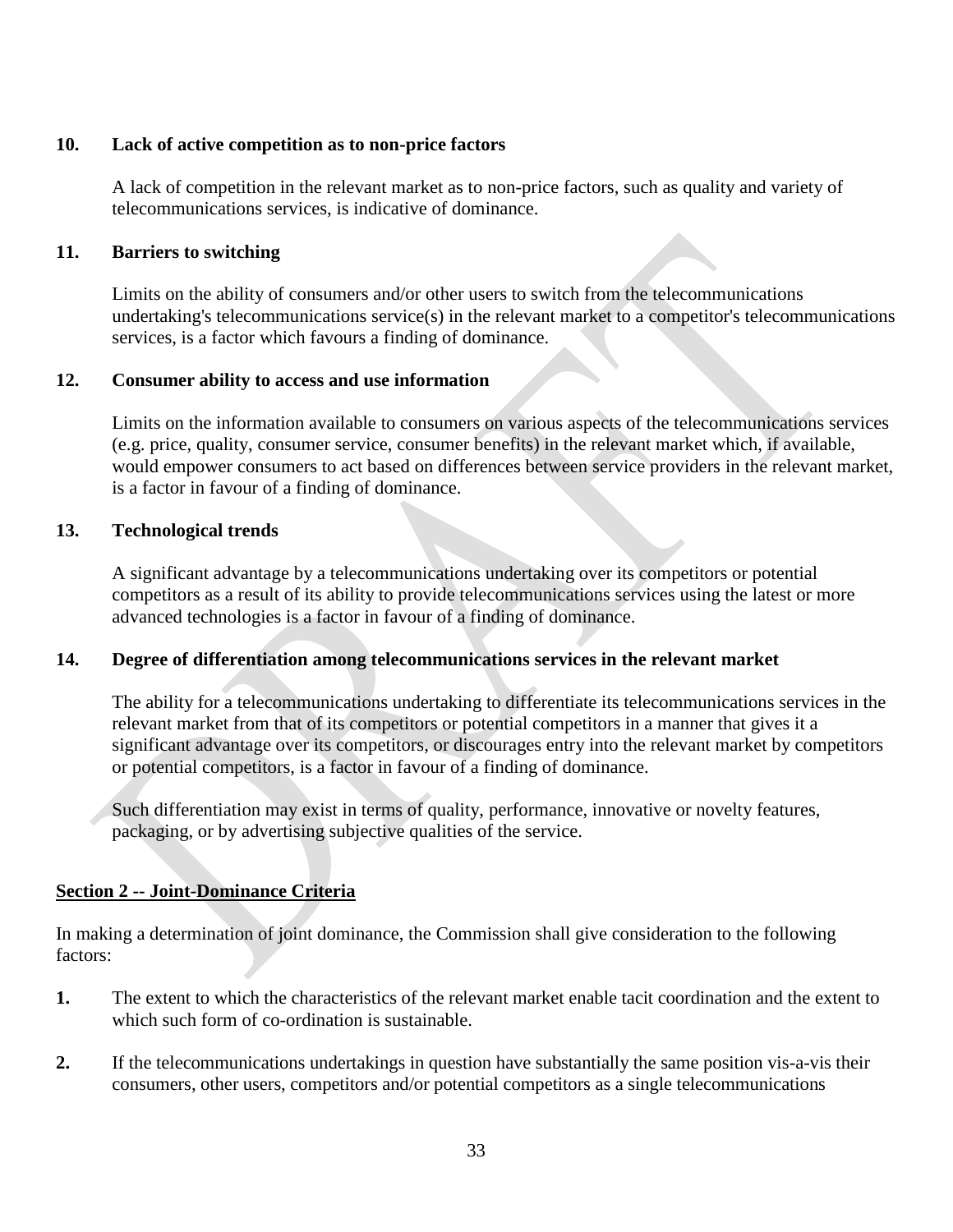### **10. Lack of active competition as to non-price factors**

A lack of competition in the relevant market as to non-price factors, such as quality and variety of telecommunications services, is indicative of dominance.

### **11. Barriers to switching**

Limits on the ability of consumers and/or other users to switch from the telecommunications undertaking's telecommunications service(s) in the relevant market to a competitor's telecommunications services, is a factor which favours a finding of dominance.

### **12. Consumer ability to access and use information**

Limits on the information available to consumers on various aspects of the telecommunications services (e.g. price, quality, consumer service, consumer benefits) in the relevant market which, if available, would empower consumers to act based on differences between service providers in the relevant market, is a factor in favour of a finding of dominance.

### **13. Technological trends**

A significant advantage by a telecommunications undertaking over its competitors or potential competitors as a result of its ability to provide telecommunications services using the latest or more advanced technologies is a factor in favour of a finding of dominance.

## **14. Degree of differentiation among telecommunications services in the relevant market**

The ability for a telecommunications undertaking to differentiate its telecommunications services in the relevant market from that of its competitors or potential competitors in a manner that gives it a significant advantage over its competitors, or discourages entry into the relevant market by competitors or potential competitors, is a factor in favour of a finding of dominance.

Such differentiation may exist in terms of quality, performance, innovative or novelty features, packaging, or by advertising subjective qualities of the service.

## **Section 2 -- Joint-Dominance Criteria**

In making a determination of joint dominance, the Commission shall give consideration to the following factors:

- **1.** The extent to which the characteristics of the relevant market enable tacit coordination and the extent to which such form of co-ordination is sustainable.
- **2.** If the telecommunications undertakings in question have substantially the same position vis-a-vis their consumers, other users, competitors and/or potential competitors as a single telecommunications